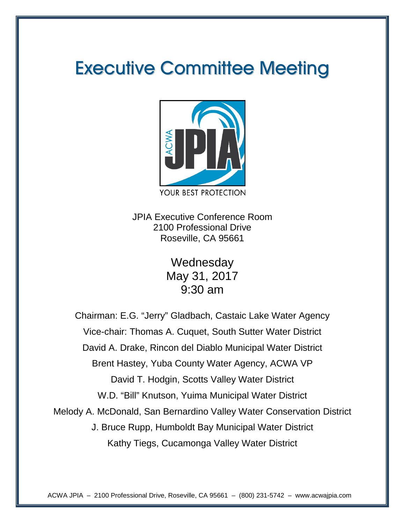# Executive Committee Meeting



JPIA Executive Conference Room 2100 Professional Drive Roseville, CA 95661

> **Wednesday** May 31, 2017 9:30 am

Chairman: E.G. "Jerry" Gladbach, Castaic Lake Water Agency Vice-chair: Thomas A. Cuquet, South Sutter Water District David A. Drake, Rincon del Diablo Municipal Water District Brent Hastey, Yuba County Water Agency, ACWA VP David T. Hodgin, Scotts Valley Water District W.D. "Bill" Knutson, Yuima Municipal Water District Melody A. McDonald, San Bernardino Valley Water Conservation District J. Bruce Rupp, Humboldt Bay Municipal Water District Kathy Tiegs, Cucamonga Valley Water District

ACWA JPIA – 2100 Professional Drive, Roseville, CA 95661 – (800) 231-5742 – www.acwajpia.com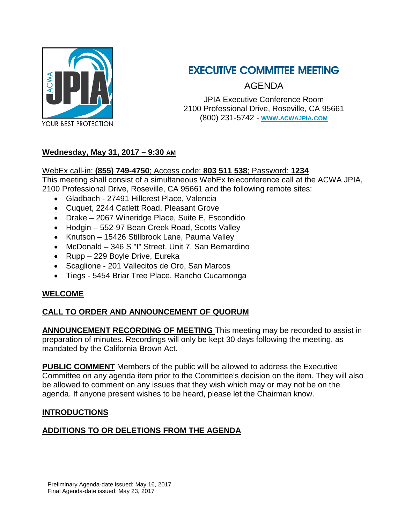

# EXECUTIVE COMMITTEE MEETING

AGENDA

JPIA Executive Conference Room 2100 Professional Drive, Roseville, CA 95661 (800) 231-5742 - **[WWW.ACWAJPIA.COM](http://www.acwajpia.com/)**

#### **Wednesday, May 31, 2017 – 9:30 AM**

#### WebEx call-in: **(855) 749-4750**; Access code: **803 511 538**; Password: **1234**

This meeting shall consist of a simultaneous WebEx teleconference call at the ACWA JPIA,

2100 Professional Drive, Roseville, CA 95661 and the following remote sites:

- Gladbach 27491 Hillcrest Place, Valencia
- Cuquet, 2244 Catlett Road, Pleasant Grove
- Drake 2067 Wineridge Place, Suite E, Escondido
- Hodgin 552-97 Bean Creek Road, Scotts Valley
- Knutson 15426 Stillbrook Lane, Pauma Valley
- McDonald 346 S "I" Street, Unit 7, San Bernardino
- Rupp 229 Boyle Drive, Eureka
- Scaglione 201 Vallecitos de Oro, San Marcos
- Tiegs 5454 Briar Tree Place, Rancho Cucamonga

#### **WELCOME**

#### **CALL TO ORDER AND ANNOUNCEMENT OF QUORUM**

**ANNOUNCEMENT RECORDING OF MEETING** This meeting may be recorded to assist in preparation of minutes. Recordings will only be kept 30 days following the meeting, as mandated by the California Brown Act.

**PUBLIC COMMENT** Members of the public will be allowed to address the Executive Committee on any agenda item prior to the Committee's decision on the item. They will also be allowed to comment on any issues that they wish which may or may not be on the agenda. If anyone present wishes to be heard, please let the Chairman know.

#### **INTRODUCTIONS**

#### **ADDITIONS TO OR DELETIONS FROM THE AGENDA**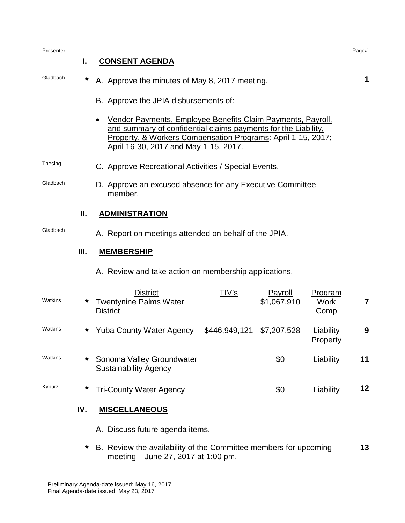| Presenter | L.   | <b>CONSENT AGENDA</b>                                                                                                                                                                                                                  |               |                               |                         | Page# |  |  |
|-----------|------|----------------------------------------------------------------------------------------------------------------------------------------------------------------------------------------------------------------------------------------|---------------|-------------------------------|-------------------------|-------|--|--|
| Gladbach  | *    | A. Approve the minutes of May 8, 2017 meeting.                                                                                                                                                                                         |               |                               |                         |       |  |  |
|           |      | B. Approve the JPIA disbursements of:                                                                                                                                                                                                  |               |                               |                         |       |  |  |
|           |      | Vendor Payments, Employee Benefits Claim Payments, Payroll,<br>and summary of confidential claims payments for the Liability,<br>Property, & Workers Compensation Programs: April 1-15, 2017;<br>April 16-30, 2017 and May 1-15, 2017. |               |                               |                         |       |  |  |
| Thesing   |      | C. Approve Recreational Activities / Special Events.                                                                                                                                                                                   |               |                               |                         |       |  |  |
| Gladbach  |      | D. Approve an excused absence for any Executive Committee<br>member.                                                                                                                                                                   |               |                               |                         |       |  |  |
|           | Ш.   | <b>ADMINISTRATION</b>                                                                                                                                                                                                                  |               |                               |                         |       |  |  |
| Gladbach  |      | A. Report on meetings attended on behalf of the JPIA.                                                                                                                                                                                  |               |                               |                         |       |  |  |
|           | III. | <b>MEMBERSHIP</b>                                                                                                                                                                                                                      |               |                               |                         |       |  |  |
|           |      | A. Review and take action on membership applications.                                                                                                                                                                                  |               |                               |                         |       |  |  |
| Watkins   | *    | <b>District</b><br><b>Twentynine Palms Water</b><br><b>District</b>                                                                                                                                                                    | <u>TIV's</u>  | <b>Payroll</b><br>\$1,067,910 | Program<br>Work<br>Comp | 7     |  |  |
| Watkins   | *    | <b>Yuba County Water Agency</b>                                                                                                                                                                                                        | \$446,949,121 | \$7,207,528                   | Liability<br>Property   | 9     |  |  |
| Watkins   | *    | Sonoma Valley Groundwater<br><b>Sustainability Agency</b>                                                                                                                                                                              |               | \$0                           | Liability               | 11    |  |  |
| Kyburz    | *    | <b>Tri-County Water Agency</b>                                                                                                                                                                                                         |               | \$0                           | Liability               | 12    |  |  |
|           | IV.  | <b>MISCELLANEOUS</b>                                                                                                                                                                                                                   |               |                               |                         |       |  |  |
|           |      | A. Discuss future agenda items.                                                                                                                                                                                                        |               |                               |                         |       |  |  |

**\*** B. Review the availability of the Committee members for upcoming meeting – June 27, 2017 at 1:00 pm. **13**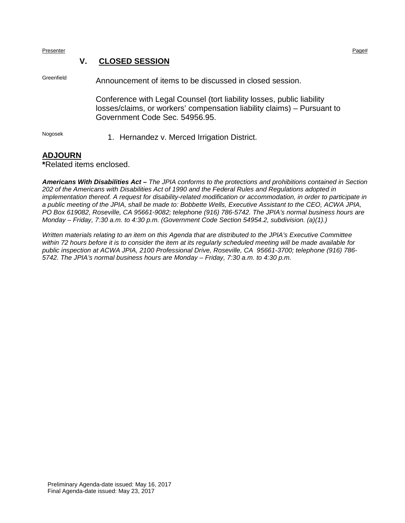Presenter Presenter Page that the extension of the extension of the extension of the extension of the extension of the extension of the extension of the extension of the extension of the extension of the extension of the e

#### **V. CLOSED SESSION**

Greenfield Announcement of items to be discussed in closed session.

Conference with Legal Counsel (tort liability losses, public liability losses/claims, or workers' compensation liability claims) – Pursuant to Government Code Sec. 54956.95.

Nogosek 1. Hernandez v. Merced Irrigation District.

#### **ADJOURN**

**\***Related items enclosed.

*Americans With Disabilities Act – The JPIA conforms to the protections and prohibitions contained in Section 202 of the Americans with Disabilities Act of 1990 and the Federal Rules and Regulations adopted in implementation thereof. A request for disability-related modification or accommodation, in order to participate in a public meeting of the JPIA, shall be made to: Bobbette Wells, Executive Assistant to the CEO, ACWA JPIA, PO Box 619082, Roseville, CA 95661-9082; telephone (916) 786-5742. The JPIA's normal business hours are Monday – Friday, 7:30 a.m. to 4:30 p.m. (Government Code Section 54954.2, subdivision. (a)(1).)*

*Written materials relating to an item on this Agenda that are distributed to the JPIA's Executive Committee within 72 hours before it is to consider the item at its regularly scheduled meeting will be made available for public inspection at ACWA JPIA, 2100 Professional Drive, Roseville, CA 95661-3700; telephone (916) 786- 5742. The JPIA's normal business hours are Monday – Friday, 7:30 a.m. to 4:30 p.m.*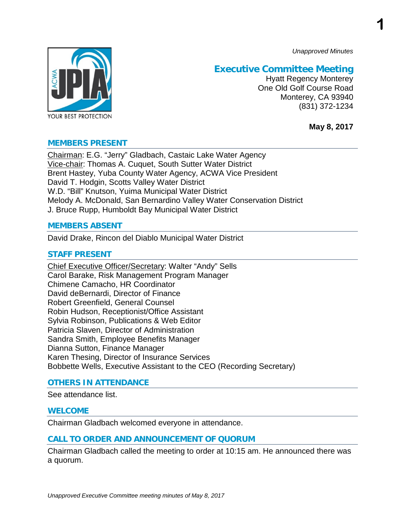*Unapproved Minutes*

**1**



### **Executive Committee Meeting**

Hyatt Regency Monterey One Old Golf Course Road Monterey, CA 93940 (831) 372-1234

**May 8, 2017**

#### **MEMBERS PRESENT**

Chairman: E.G. "Jerry" Gladbach, Castaic Lake Water Agency Vice-chair: Thomas A. Cuquet, South Sutter Water District Brent Hastey, Yuba County Water Agency, ACWA Vice President David T. Hodgin, Scotts Valley Water District W.D. "Bill" Knutson, Yuima Municipal Water District Melody A. McDonald, San Bernardino Valley Water Conservation District J. Bruce Rupp, Humboldt Bay Municipal Water District

#### **MEMBERS ABSENT**

David Drake, Rincon del Diablo Municipal Water District

#### **STAFF PRESENT**

Chief Executive Officer/Secretary: Walter "Andy" Sells Carol Barake, Risk Management Program Manager Chimene Camacho, HR Coordinator David deBernardi, Director of Finance Robert Greenfield, General Counsel Robin Hudson, Receptionist/Office Assistant Sylvia Robinson, Publications & Web Editor Patricia Slaven, Director of Administration Sandra Smith, Employee Benefits Manager Dianna Sutton, Finance Manager Karen Thesing, Director of Insurance Services Bobbette Wells, Executive Assistant to the CEO (Recording Secretary)

#### **OTHERS IN ATTENDANCE**

See attendance list.

#### **WELCOME**

Chairman Gladbach welcomed everyone in attendance.

#### **CALL TO ORDER AND ANNOUNCEMENT OF QUORUM**

Chairman Gladbach called the meeting to order at 10:15 am. He announced there was a quorum.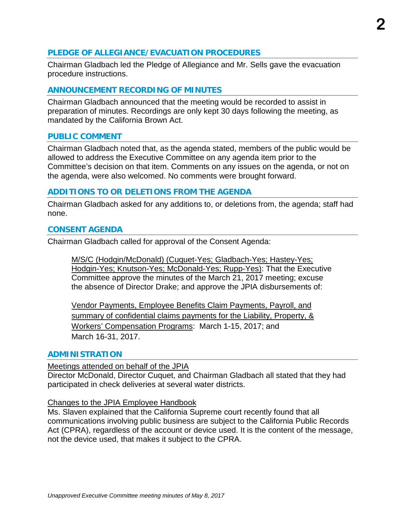#### **PLEDGE OF ALLEGIANCE/EVACUATION PROCEDURES**

Chairman Gladbach led the Pledge of Allegiance and Mr. Sells gave the evacuation procedure instructions.

#### **ANNOUNCEMENT RECORDING OF MINUTES**

Chairman Gladbach announced that the meeting would be recorded to assist in preparation of minutes. Recordings are only kept 30 days following the meeting, as mandated by the California Brown Act.

#### **PUBLIC COMMENT**

Chairman Gladbach noted that, as the agenda stated, members of the public would be allowed to address the Executive Committee on any agenda item prior to the Committee's decision on that item. Comments on any issues on the agenda, or not on the agenda, were also welcomed. No comments were brought forward.

#### **ADDITIONS TO OR DELETIONS FROM THE AGENDA**

Chairman Gladbach asked for any additions to, or deletions from, the agenda; staff had none.

#### **CONSENT AGENDA**

Chairman Gladbach called for approval of the Consent Agenda:

M/S/C (Hodgin/McDonald) (Cuquet-Yes; Gladbach-Yes; Hastey-Yes; Hodgin-Yes; Knutson-Yes; McDonald-Yes; Rupp-Yes): That the Executive Committee approve the minutes of the March 21, 2017 meeting; excuse the absence of Director Drake; and approve the JPIA disbursements of:

Vendor Payments, Employee Benefits Claim Payments, Payroll, and summary of confidential claims payments for the Liability, Property, & Workers' Compensation Programs: March 1-15, 2017; and March 16-31, 2017.

#### **ADMINISTRATION**

#### Meetings attended on behalf of the JPIA

Director McDonald, Director Cuquet, and Chairman Gladbach all stated that they had participated in check deliveries at several water districts.

#### Changes to the JPIA Employee Handbook

Ms. Slaven explained that the California Supreme court recently found that all communications involving public business are subject to the California Public Records Act (CPRA), regardless of the account or device used. It is the content of the message, not the device used, that makes it subject to the CPRA.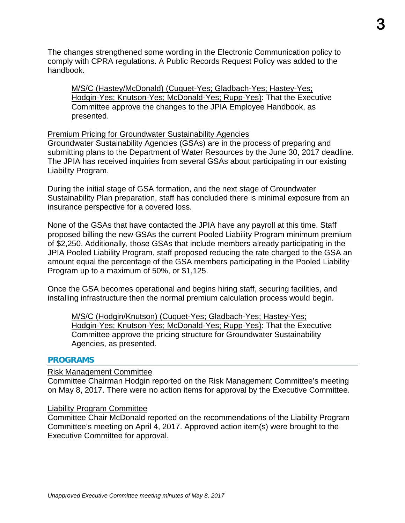The changes strengthened some wording in the Electronic Communication policy to comply with CPRA regulations. A Public Records Request Policy was added to the handbook.

M/S/C (Hastey/McDonald) (Cuquet-Yes; Gladbach-Yes; Hastey-Yes; Hodgin-Yes; Knutson-Yes; McDonald-Yes; Rupp-Yes): That the Executive Committee approve the changes to the JPIA Employee Handbook, as presented.

#### Premium Pricing for Groundwater Sustainability Agencies

Groundwater Sustainability Agencies (GSAs) are in the process of preparing and submitting plans to the Department of Water Resources by the June 30, 2017 deadline. The JPIA has received inquiries from several GSAs about participating in our existing Liability Program.

During the initial stage of GSA formation, and the next stage of Groundwater Sustainability Plan preparation, staff has concluded there is minimal exposure from an insurance perspective for a covered loss.

None of the GSAs that have contacted the JPIA have any payroll at this time. Staff proposed billing the new GSAs the current Pooled Liability Program minimum premium of \$2,250. Additionally, those GSAs that include members already participating in the JPIA Pooled Liability Program, staff proposed reducing the rate charged to the GSA an amount equal the percentage of the GSA members participating in the Pooled Liability Program up to a maximum of 50%, or \$1,125.

Once the GSA becomes operational and begins hiring staff, securing facilities, and installing infrastructure then the normal premium calculation process would begin.

M/S/C (Hodgin/Knutson) (Cuquet-Yes; Gladbach-Yes; Hastey-Yes; Hodgin-Yes; Knutson-Yes; McDonald-Yes; Rupp-Yes): That the Executive Committee approve the pricing structure for Groundwater Sustainability Agencies, as presented.

#### **PROGRAMS**

#### Risk Management Committee

Committee Chairman Hodgin reported on the Risk Management Committee's meeting on May 8, 2017. There were no action items for approval by the Executive Committee.

#### Liability Program Committee

Committee Chair McDonald reported on the recommendations of the Liability Program Committee's meeting on April 4, 2017. Approved action item(s) were brought to the Executive Committee for approval.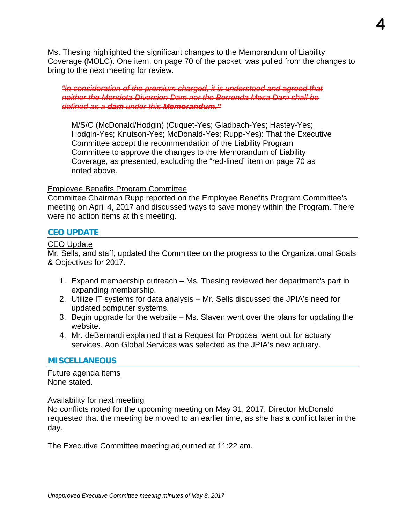Ms. Thesing highlighted the significant changes to the Memorandum of Liability Coverage (MOLC). One item, on page 70 of the packet, was pulled from the changes to bring to the next meeting for review.

*"In consideration of the premium charged, it is understood and agreed that neither the Mendota Diversion Dam nor the Berrenda Mesa Dam shall be defined as a dam under this Memorandum."*

M/S/C (McDonald/Hodgin) (Cuquet-Yes; Gladbach-Yes; Hastey-Yes; Hodgin-Yes; Knutson-Yes; McDonald-Yes; Rupp-Yes): That the Executive Committee accept the recommendation of the Liability Program Committee to approve the changes to the Memorandum of Liability Coverage, as presented, excluding the "red-lined" item on page 70 as noted above.

#### Employee Benefits Program Committee

Committee Chairman Rupp reported on the Employee Benefits Program Committee's meeting on April 4, 2017 and discussed ways to save money within the Program. There were no action items at this meeting.

#### **CEO UPDATE**

#### CEO Update

Mr. Sells, and staff, updated the Committee on the progress to the Organizational Goals & Objectives for 2017.

- 1. Expand membership outreach Ms. Thesing reviewed her department's part in expanding membership.
- 2. Utilize IT systems for data analysis Mr. Sells discussed the JPIA's need for updated computer systems.
- 3. Begin upgrade for the website Ms. Slaven went over the plans for updating the website.
- 4. Mr. deBernardi explained that a Request for Proposal went out for actuary services. Aon Global Services was selected as the JPIA's new actuary.

#### **MISCELLANEOUS**

Future agenda items None stated.

#### **Availability for next meeting**

No conflicts noted for the upcoming meeting on May 31, 2017. Director McDonald requested that the meeting be moved to an earlier time, as she has a conflict later in the day.

The Executive Committee meeting adjourned at 11:22 am.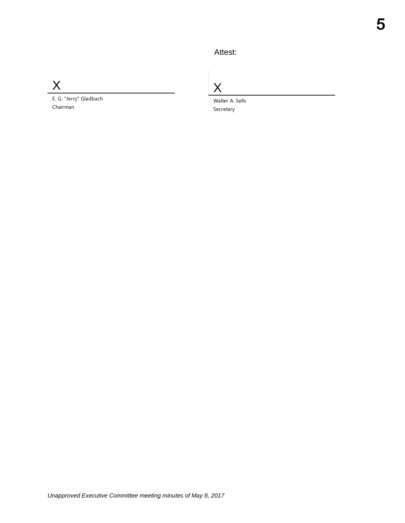### Attest:

X

E. G. "Jerry" Gladbach Chairman

X

Walter A. Sells Secretary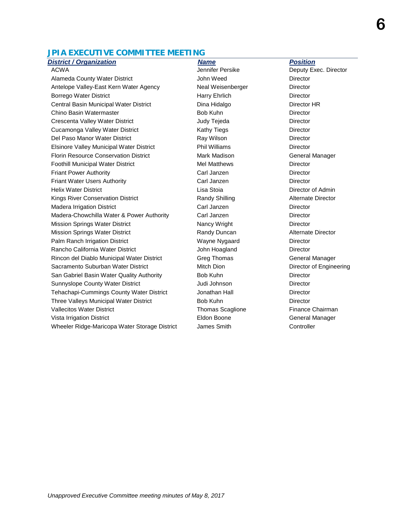#### **JPIA EXECUTIVE COMMITTEE MEETING**

Alameda County Water District **Alameda County Water District** Alamede County Water Director Antelope Valley-East Kern Water Agency **Neal Weisenberger** Director Borrego Water District **Harry Ehrlich Harry Ehrlich** Director Central Basin Municipal Water District **Director Bilgerian Dina Hidalgo** Director HR Chino Basin Watermaster **Bob Kuhn** Bob Kuhn Director Crescenta Valley Water District **Creaming Creaming Creaming Creaming Creaming Creaming Creaming Creaming Creaming** Cucamonga Valley Water District **Cucamonga Valley Water District Cucamonga** Director Del Paso Manor Water District **Ray Wilson** Ray Wilson **Director** Director Elsinore Valley Municipal Water District Phil Williams Director Florin Resource Conservation District **Mark Madison** Mark Madison General Manager Foothill Municipal Water District **Mel Matthews** Director Friant Power Authority Carl Janzen Director Friant Water Users Authority Carl Janzen Director Helix Water District Lisa Stoia Director of Admin Kings River Conservation District **Randy Shilling Alternate Director** Randy Shilling Alternate Director Madera Irrigation District **Carl Janzen** Carl Janzen Director Madera-Chowchilla Water & Power Authority Carl Janzen Carl Director Mission Springs Water District Nancy Wright Nancy Wright Director Mission Springs Water District **Randy Duncan** Randy Duncan Alternate Director Palm Ranch Irrigation District Wayne Nygaard Director Rancho California Water District **National Control Control Control Control** Director Rincon del Diablo Municipal Water District Greg Thomas General Manager Sacramento Suburban Water District **Mitch Dion** Mitch Dion Director of Engineering San Gabriel Basin Water Quality Authority **Bob Kuhn Chang Contained Basis Contained Basis** Director Sunnyslope County Water District **Connective County Victor** Judi Johnson **Director** Director Tehachapi-Cummings County Water District **Sound Accord Director** Jonathan Hall **Director** Three Valleys Municipal Water District **Bob Kuhn** Bob Kuhn Director Vallecitos Water District **Thomas Scaglione** Finance Chairman Chairman Vista Irrigation District Eldon Boone General Manager Wheeler Ridge-Maricopa Water Storage District James Smith Controller

**District / Organization Name Access Access Position** Name Position

ACWA **ACWA Jennifer Persike** Deputy Exec. Director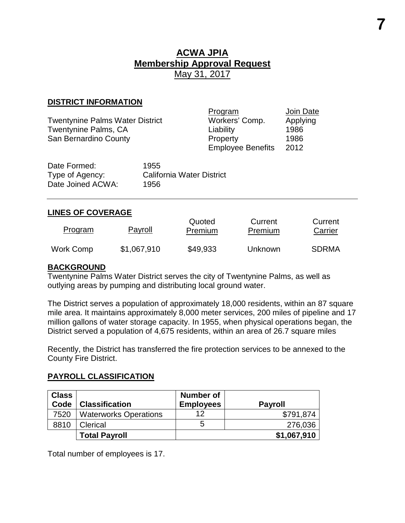# **ACWA JPIA Membership Approval Request** May 31, 2017

#### **DISTRICT INFORMATION**

Twentynine Palms Water District **Workers' Comp.** Applying Twentynine Palms, CA Liability Liability 1986 San Bernardino County **Property** Property 1986

Program Join Date<br>Workers' Comp. Applying Employee Benefits 2012

| Date Formed:      | 1955                             |
|-------------------|----------------------------------|
| Type of Agency:   | <b>California Water District</b> |
| Date Joined ACWA: | 1956                             |

#### **LINES OF COVERAGE**

| <b>Program</b> | Payroll     | Quoted<br>Premium | Current<br>Premium | Current<br>Carrier |
|----------------|-------------|-------------------|--------------------|--------------------|
| Work Comp      | \$1,067,910 | \$49,933          | <b>Unknown</b>     | <b>SDRMA</b>       |

#### **BACKGROUND**

Twentynine Palms Water District serves the city of Twentynine Palms, as well as outlying areas by pumping and distributing local ground water.

The District serves a population of approximately 18,000 residents, within an 87 square mile area. It maintains approximately 8,000 meter services, 200 miles of pipeline and 17 million gallons of water storage capacity. In 1955, when physical operations began, the District served a population of 4,675 residents, within an area of 26.7 square miles

Recently, the District has transferred the fire protection services to be annexed to the County Fire District.

#### **PAYROLL CLASSIFICATION**

| <b>Class</b> |                              | Number of        |                |
|--------------|------------------------------|------------------|----------------|
| Code         | <b>Classification</b>        | <b>Employees</b> | <b>Payroll</b> |
| 7520         | <b>Waterworks Operations</b> | 12               | \$791,874      |
| 8810         | Clerical                     | 5                | 276,036        |
|              | <b>Total Payroll</b>         |                  | \$1,067,910    |

Total number of employees is 17.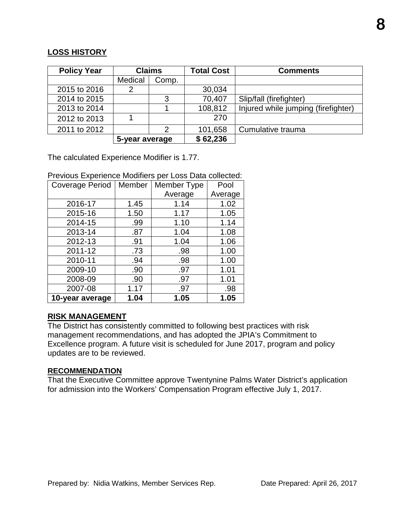#### **LOSS HISTORY**

| <b>Policy Year</b> |                | <b>Claims</b> | <b>Total Cost</b> | <b>Comments</b>                     |
|--------------------|----------------|---------------|-------------------|-------------------------------------|
|                    | Medical        | Comp.         |                   |                                     |
| 2015 to 2016       | 2              |               | 30,034            |                                     |
| 2014 to 2015       |                | 3             | 70,407            | Slip/fall (firefighter)             |
| 2013 to 2014       |                |               | 108,812           | Injured while jumping (firefighter) |
| 2012 to 2013       |                |               | 270               |                                     |
| 2011 to 2012       |                | 2             | 101,658           | Cumulative trauma                   |
|                    | 5-year average |               | \$62,236          |                                     |

The calculated Experience Modifier is 1.77.

Previous Experience Modifiers per Loss Data collected:

| <b>Coverage Period</b> | Member | Member Type | Pool    |
|------------------------|--------|-------------|---------|
|                        |        | Average     | Average |
| 2016-17                | 1.45   | 1.14        | 1.02    |
| 2015-16                | 1.50   | 1.17        | 1.05    |
| 2014-15                | .99    | 1.10        | 1.14    |
| 2013-14                | .87    | 1.04        | 1.08    |
| 2012-13                | .91    | 1.04        | 1.06    |
| 2011-12                | .73    | .98         | 1.00    |
| 2010-11                | .94    | .98         | 1.00    |
| 2009-10                | .90    | .97         | 1.01    |
| 2008-09                | .90    | .97         | 1.01    |
| 2007-08                | 1.17   | .97         | .98     |
| 10-year average        | 1.04   | 1.05        | 1.05    |

#### **RISK MANAGEMENT**

The District has consistently committed to following best practices with risk management recommendations, and has adopted the JPIA's Commitment to Excellence program. A future visit is scheduled for June 2017, program and policy updates are to be reviewed.

#### **RECOMMENDATION**

That the Executive Committee approve Twentynine Palms Water District's application for admission into the Workers' Compensation Program effective July 1, 2017.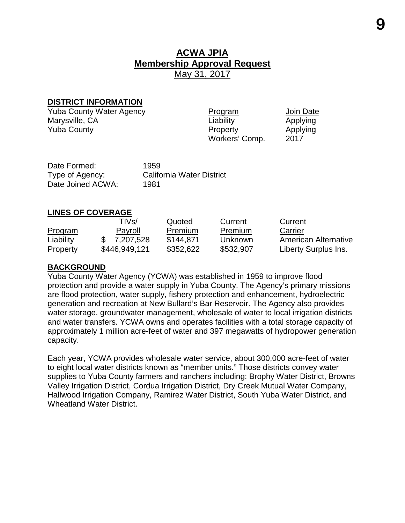# **ACWA JPIA Membership Approval Request** May 31, 2017

#### **DISTRICT INFORMATION**

Yuba County Water Agency **Program Program Mate Solution**<br>Marysville, CA **Program Program Applying** Marysville, CA **Liability Applying** Yuba County **Property Property** Applying

Workers' Comp. 2017

Date Formed: 1959 Date Joined ACWA: 1981

Type of Agency: California Water District

#### **LINES OF COVERAGE**

|                | TIVs/         | Quoted    | Current   | Current                     |
|----------------|---------------|-----------|-----------|-----------------------------|
| <b>Program</b> | Payroll       | Premium   | Premium   | Carrier                     |
| Liability      | \$7,207,528   | \$144,871 | Unknown   | <b>American Alternative</b> |
| Property       | \$446,949,121 | \$352,622 | \$532,907 | Liberty Surplus Ins.        |

#### **BACKGROUND**

Yuba County Water Agency (YCWA) was established in 1959 to improve flood protection and provide a water supply in Yuba County. The Agency's primary missions are flood protection, water supply, fishery protection and enhancement, hydroelectric generation and recreation at New Bullard's Bar Reservoir. The Agency also provides water storage, groundwater management, wholesale of water to local irrigation districts and water transfers. YCWA owns and operates facilities with a total storage capacity of approximately 1 million acre-feet of water and 397 megawatts of hydropower generation capacity.

Each year, YCWA provides wholesale water service, about 300,000 acre-feet of water to eight local water districts known as "member units." Those districts convey water supplies to Yuba County farmers and ranchers including: Brophy Water District, Browns Valley Irrigation District, Cordua Irrigation District, Dry Creek Mutual Water Company, Hallwood Irrigation Company, Ramirez Water District, South Yuba Water District, and Wheatland Water District.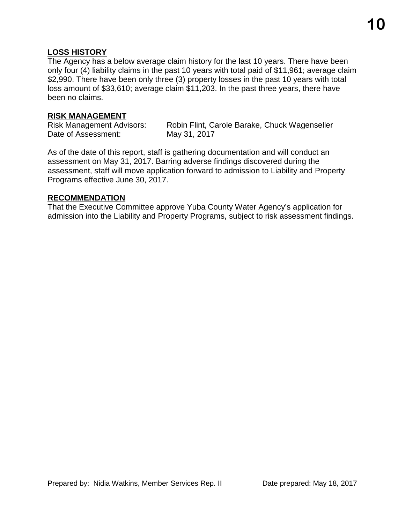#### **LOSS HISTORY**

The Agency has a below average claim history for the last 10 years. There have been only four (4) liability claims in the past 10 years with total paid of \$11,961; average claim \$2,990. There have been only three (3) property losses in the past 10 years with total loss amount of \$33,610; average claim \$11,203. In the past three years, there have been no claims.

#### **RISK MANAGEMENT**

Date of Assessment: May 31, 2017

Risk Management Advisors: Robin Flint, Carole Barake, Chuck Wagenseller

As of the date of this report, staff is gathering documentation and will conduct an assessment on May 31, 2017. Barring adverse findings discovered during the assessment, staff will move application forward to admission to Liability and Property Programs effective June 30, 2017.

#### **RECOMMENDATION**

That the Executive Committee approve Yuba County Water Agency's application for admission into the Liability and Property Programs, subject to risk assessment findings.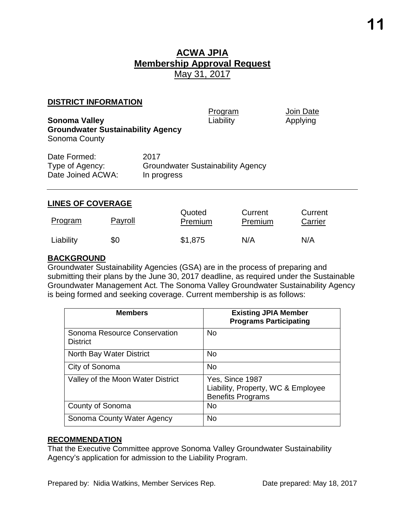### **ACWA JPIA Membership Approval Request** May 31, 2017

#### **DISTRICT INFORMATION**

| <b>Sonoma Valley</b>                                      |                                                                 | Program<br>Liability | Join Date<br>Applying |
|-----------------------------------------------------------|-----------------------------------------------------------------|----------------------|-----------------------|
| <b>Groundwater Sustainability Agency</b><br>Sonoma County |                                                                 |                      |                       |
| Date Formed:<br>Type of Agency:<br>Date Joined ACWA:      | 2017<br><b>Groundwater Sustainability Agency</b><br>In progress |                      |                       |
|                                                           |                                                                 |                      |                       |

#### **LINES OF COVERAGE**

| Program   | Payroll | Quoted<br>Premium | Current<br>Premium | Current<br>Carrier |
|-----------|---------|-------------------|--------------------|--------------------|
| Liability | \$0     | \$1,875           | N/A                | N/A                |

#### **BACKGROUND**

Groundwater Sustainability Agencies (GSA) are in the process of preparing and submitting their plans by the June 30, 2017 deadline, as required under the Sustainable Groundwater Management Act. The Sonoma Valley Groundwater Sustainability Agency is being formed and seeking coverage. Current membership is as follows:

| <b>Members</b>                                  | <b>Existing JPIA Member</b><br><b>Programs Participating</b>                      |
|-------------------------------------------------|-----------------------------------------------------------------------------------|
| Sonoma Resource Conservation<br><b>District</b> | <b>No</b>                                                                         |
| North Bay Water District                        | <b>No</b>                                                                         |
| City of Sonoma                                  | <b>No</b>                                                                         |
| Valley of the Moon Water District               | Yes, Since 1987<br>Liability, Property, WC & Employee<br><b>Benefits Programs</b> |
| County of Sonoma                                | <b>No</b>                                                                         |
| Sonoma County Water Agency                      | <b>No</b>                                                                         |

#### **RECOMMENDATION**

That the Executive Committee approve Sonoma Valley Groundwater Sustainability Agency's application for admission to the Liability Program.

Prepared by: Nidia Watkins, Member Services Rep. Date prepared: May 18, 2017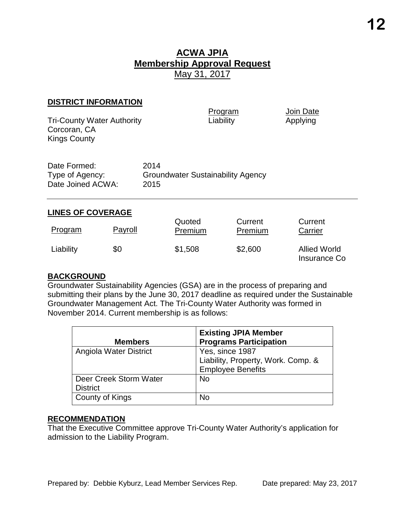## **ACWA JPIA Membership Approval Request** May 31, 2017

#### **DISTRICT INFORMATION**

Tri-County Water Authority Corcoran, CA Kings County

Program Join Date<br>
Liability Applying

| Date Formed:      | 2014                                     |
|-------------------|------------------------------------------|
| Type of Agency:   | <b>Groundwater Sustainability Agency</b> |
| Date Joined ACWA: | 2015                                     |

#### **LINES OF COVERAGE**

| <b>Program</b> | Payroll | Quoted<br>Premium | Current<br>Premium | Current<br>Carrier                         |
|----------------|---------|-------------------|--------------------|--------------------------------------------|
| Liability      | \$0     | \$1,508           | \$2,600            | <b>Allied World</b><br><b>Insurance Co</b> |

#### **BACKGROUND**

Groundwater Sustainability Agencies (GSA) are in the process of preparing and submitting their plans by the June 30, 2017 deadline as required under the Sustainable Groundwater Management Act. The Tri-County Water Authority was formed in November 2014. Current membership is as follows:

| <b>Members</b>         | <b>Existing JPIA Member</b><br><b>Programs Participation</b> |
|------------------------|--------------------------------------------------------------|
| Angiola Water District | Yes, since 1987<br>Liability, Property, Work. Comp. &        |
|                        | <b>Employee Benefits</b>                                     |
| Deer Creek Storm Water | <b>No</b>                                                    |
| <b>District</b>        |                                                              |
| County of Kings        | No                                                           |

#### **RECOMMENDATION**

That the Executive Committee approve Tri-County Water Authority's application for admission to the Liability Program.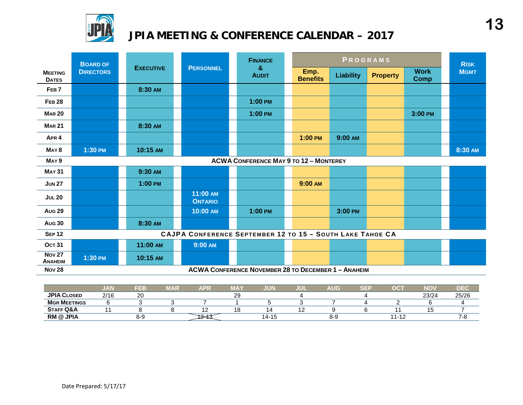

# **JPIA MEETING & CONFERENCE CALENDAR – 2017**

|                                 | <b>BOARD OF</b>                               |                  |                                                           | <b>PERSONNEL</b> |                                                            |  |                         |                  | PROGRAMS        |                            | <b>RISK</b> |
|---------------------------------|-----------------------------------------------|------------------|-----------------------------------------------------------|------------------|------------------------------------------------------------|--|-------------------------|------------------|-----------------|----------------------------|-------------|
| <b>MEETING</b><br><b>DATES</b>  | <b>DIRECTORS</b>                              | <b>EXECUTIVE</b> |                                                           |                  | &<br><b>AUDIT</b>                                          |  | Emp.<br><b>Benefits</b> | <b>Liability</b> | <b>Property</b> | <b>Work</b><br><b>Comp</b> | <b>MGMT</b> |
| FEB <sub>7</sub>                |                                               | 8:30 AM          |                                                           |                  |                                                            |  |                         |                  |                 |                            |             |
| <b>FEB 28</b>                   |                                               |                  |                                                           |                  | $1:00$ PM                                                  |  |                         |                  |                 |                            |             |
| <b>MAR 20</b>                   |                                               |                  |                                                           |                  | $1:00$ PM                                                  |  |                         |                  |                 | 3:00 PM                    |             |
| <b>MAR 21</b>                   |                                               | 8:30 AM          |                                                           |                  |                                                            |  |                         |                  |                 |                            |             |
| APR <sub>4</sub>                |                                               |                  |                                                           |                  |                                                            |  | $1:00$ PM               | 9:00 AM          |                 |                            |             |
| MAY <sub>8</sub>                | 1:30 PM                                       | 10:15 AM         |                                                           |                  |                                                            |  |                         |                  |                 |                            | 8:30 AM     |
| MAY <sub>9</sub>                | <b>ACWA CONFERENCE MAY 9 TO 12 - MONTEREY</b> |                  |                                                           |                  |                                                            |  |                         |                  |                 |                            |             |
| <b>MAY 31</b>                   |                                               | 9:30 AM          |                                                           |                  |                                                            |  |                         |                  |                 |                            |             |
| <b>JUN 27</b>                   |                                               | 1:00 PM          |                                                           |                  |                                                            |  | 9:00 AM                 |                  |                 |                            |             |
| <b>JUL 20</b>                   |                                               |                  | 11:00 AM<br><b>ONTARIO</b>                                |                  |                                                            |  |                         |                  |                 |                            |             |
| <b>Aug 29</b>                   |                                               |                  | 10:00 AM                                                  |                  | $1:00$ PM                                                  |  |                         | 3:00 PM          |                 |                            |             |
| <b>Aug 30</b>                   |                                               | 8:30 AM          |                                                           |                  |                                                            |  |                         |                  |                 |                            |             |
| <b>SEP 12</b>                   |                                               |                  | CAJPA CONFERENCE SEPTEMBER 12 TO 15 - SOUTH LAKE TAHOE CA |                  |                                                            |  |                         |                  |                 |                            |             |
| <b>OCT 31</b>                   |                                               | 11:00 AM         | 9:00 AM                                                   |                  |                                                            |  |                         |                  |                 |                            |             |
| <b>Nov 27</b><br><b>ANAHEIM</b> | 1:30 PM                                       | 10:15 AM         |                                                           |                  |                                                            |  |                         |                  |                 |                            |             |
| <b>Nov 28</b>                   |                                               |                  |                                                           |                  | <b>ACWA CONFERENCE NOVEMBER 28 TO DECEMBER 1 - ANAHEIM</b> |  |                         |                  |                 |                            |             |

|                      | ,,,,,<br>$\mathcal{L} = \mathcal{L}$ | FEB          | MAR | <b>APR</b> | <b>MA</b>    | JUN   | JUI | <b>AUG</b> | $\sim$ $-$ | DС                            | <b>NOV</b> | ס≡ס   |
|----------------------|--------------------------------------|--------------|-----|------------|--------------|-------|-----|------------|------------|-------------------------------|------------|-------|
| <b>JPIA CLOSED</b>   | 2/16                                 | $\sim$<br>∠∪ |     |            | $\sim$<br>20 |       |     |            |            |                               | 23/24      | 25/26 |
| <b>MGR MEETINGS</b>  |                                      |              |     |            |              |       |     |            |            |                               |            |       |
| <b>STAFF Q&amp;A</b> |                                      |              |     |            | י י          |       |     |            |            |                               |            |       |
| <b>RM @ JPIA</b>     |                                      | 8-9          |     |            |              | 14-15 |     | 8-9        |            | 44<br>$\overline{a}$<br>1 – 1 |            |       |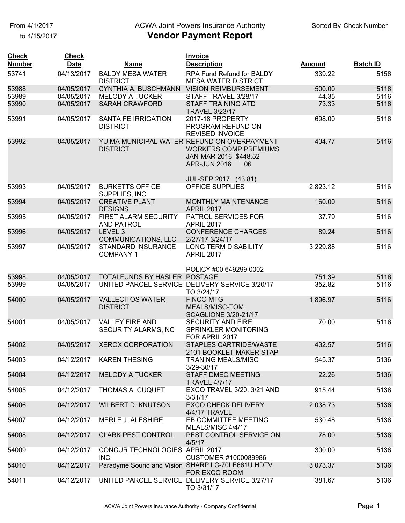to 4/15/2017

# From 4/1/2017 **Example 20 Transform Controller Authority** Check Number Check Number

| <b>Check</b><br><b>Number</b> | <b>Check</b><br><b>Date</b> | <b>Name</b>                                    | <b>Invoice</b><br><b>Description</b>                                                                                        | <b>Amount</b> | <b>Batch ID</b> |
|-------------------------------|-----------------------------|------------------------------------------------|-----------------------------------------------------------------------------------------------------------------------------|---------------|-----------------|
|                               |                             | <b>BALDY MESA WATER</b>                        |                                                                                                                             | 339.22        |                 |
| 53741                         | 04/13/2017                  | <b>DISTRICT</b>                                | RPA Fund Refund for BALDY<br><b>MESA WATER DISTRICT</b>                                                                     |               | 5156            |
| 53988                         | 04/05/2017                  | CYNTHIA A. BUSCHMANN                           | <b>VISION REIMBURSEMENT</b>                                                                                                 | 500.00        | 5116            |
| 53989                         | 04/05/2017                  | <b>MELODY A TUCKER</b>                         | STAFF TRAVEL 3/28/17                                                                                                        | 44.35         | 5116            |
| 53990                         | 04/05/2017                  | <b>SARAH CRAWFORD</b>                          | <b>STAFF TRAINING ATD</b><br><b>TRAVEL 3/23/17</b>                                                                          | 73.33         | 5116            |
| 53991                         | 04/05/2017                  | SANTA FE IRRIGATION<br><b>DISTRICT</b>         | 2017-18 PROPERTY<br>PROGRAM REFUND ON<br><b>REVISED INVOICE</b>                                                             | 698.00        | 5116            |
| 53992                         | 04/05/2017                  | <b>DISTRICT</b>                                | YUIMA MUNICIPAL WATER REFUND ON OVERPAYMENT<br><b>WORKERS COMP PREMIUMS</b><br>JAN-MAR 2016 \$448.52<br>APR-JUN 2016<br>.06 | 404.77        | 5116            |
| 53993                         | 04/05/2017                  | <b>BURKETTS OFFICE</b>                         | JUL-SEP 2017 (43.81)<br><b>OFFICE SUPPLIES</b>                                                                              | 2,823.12      | 5116            |
|                               |                             | SUPPLIES, INC.                                 |                                                                                                                             |               |                 |
| 53994                         | 04/05/2017                  | <b>CREATIVE PLANT</b><br><b>DESIGNS</b>        | MONTHLY MAINTENANCE<br><b>APRIL 2017</b>                                                                                    | 160.00        | 5116            |
| 53995                         | 04/05/2017                  | FIRST ALARM SECURITY<br><b>AND PATROL</b>      | PATROL SERVICES FOR<br><b>APRIL 2017</b>                                                                                    | 37.79         | 5116            |
| 53996                         | 04/05/2017                  | LEVEL <sub>3</sub><br>COMMUNICATIONS, LLC      | <b>CONFERENCE CHARGES</b><br>2/27/17-3/24/17                                                                                | 89.24         | 5116            |
| 53997                         | 04/05/2017                  | STANDARD INSURANCE<br><b>COMPANY1</b>          | <b>LONG TERM DISABILITY</b><br><b>APRIL 2017</b>                                                                            | 3,229.88      | 5116            |
|                               |                             |                                                | POLICY #00 649299 0002                                                                                                      |               |                 |
| 53998                         | 04/05/2017                  | TOTALFUNDS BY HASLER POSTAGE                   |                                                                                                                             | 751.39        | 5116            |
| 53999                         | 04/05/2017                  |                                                | UNITED PARCEL SERVICE DELIVERY SERVICE 3/20/17<br>TO 3/24/17                                                                | 352.82        | 5116            |
| 54000                         | 04/05/2017                  | <b>VALLECITOS WATER</b><br><b>DISTRICT</b>     | <b>FINCO MTG</b><br>MEALS/MISC-TOM<br><b>SCAGLIONE 3/20-21/17</b>                                                           | 1,896.97      | 5116            |
| 54001                         | 04/05/2017                  | <b>VALLEY FIRE AND</b><br>SECURITY ALARMS, INC | <b>SECURITY AND FIRE</b><br>SPRINKLER MONITORING<br>FOR APRIL 2017                                                          | 70.00         | 5116            |
| 54002                         | 04/05/2017                  | <b>XEROX CORPORATION</b>                       | <b>STAPLES CARTRIDE/WASTE</b><br>2101 BOOKLET MAKER STAP                                                                    | 432.57        | 5116            |
| 54003                         | 04/12/2017                  | <b>KAREN THESING</b>                           | <b>TRANING MEALS/MISC</b><br>3/29-30/17                                                                                     | 545.37        | 5136            |
| 54004                         | 04/12/2017                  | <b>MELODY A TUCKER</b>                         | <b>STAFF DMEC MEETING</b><br><b>TRAVEL 4/7/17</b>                                                                           | 22.26         | 5136            |
| 54005                         | 04/12/2017                  | THOMAS A. CUQUET                               | EXCO TRAVEL 3/20, 3/21 AND<br>3/31/17                                                                                       | 915.44        | 5136            |
| 54006                         | 04/12/2017                  | <b>WILBERT D. KNUTSON</b>                      | <b>EXCO CHECK DELIVERY</b><br>4/4/17 TRAVEL                                                                                 | 2,038.73      | 5136            |
| 54007                         | 04/12/2017                  | MERLE J. ALESHIRE                              | EB COMMITTEE MEETING<br>MEALS/MISC 4/4/17                                                                                   | 530.48        | 5136            |
| 54008                         | 04/12/2017                  | <b>CLARK PEST CONTROL</b>                      | PEST CONTROL SERVICE ON<br>4/5/17                                                                                           | 78.00         | 5136            |
| 54009                         | 04/12/2017                  | CONCUR TECHNOLOGIES APRIL 2017<br><b>INC</b>   | CUSTOMER #1000089986                                                                                                        | 300.00        | 5136            |
| 54010                         | 04/12/2017                  |                                                | Paradyme Sound and Vision SHARP LC-70LE661U HDTV<br>FOR EXCO ROOM                                                           | 3,073.37      | 5136            |
| 54011                         | 04/12/2017                  |                                                | UNITED PARCEL SERVICE DELIVERY SERVICE 3/27/17<br>TO 3/31/17                                                                | 381.67        | 5136            |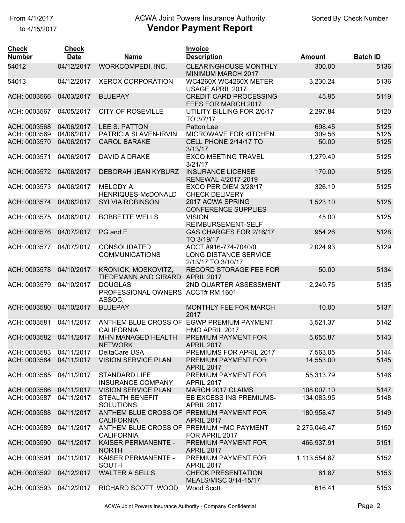### From 4/1/2017 **Example 20 Transform Controller Authority** Check Number Check Number

| <b>Check</b><br><b>Number</b> | <b>Check</b><br><b>Date</b> | <b>Name</b>                                                   | <b>Invoice</b><br><b>Description</b>                                | <b>Amount</b> | <b>Batch ID</b> |
|-------------------------------|-----------------------------|---------------------------------------------------------------|---------------------------------------------------------------------|---------------|-----------------|
| 54012                         | 04/12/2017                  | WORKCOMPEDI, INC.                                             | <b>CLEARINGHOUSE MONTHLY</b><br>MINIMUM MARCH 2017                  | 300.00        | 5136            |
| 54013                         | 04/12/2017                  | <b>XEROX CORPORATION</b>                                      | WC4260X WC4260X METER<br><b>USAGE APRIL 2017</b>                    | 3,230.24      | 5136            |
| ACH: 0003566                  | 04/03/2017                  | <b>BLUEPAY</b>                                                | <b>CREDIT CARD PROCESSING</b><br>FEES FOR MARCH 2017                | 45.95         | 5119            |
| ACH: 0003567                  | 04/05/2017                  | <b>CITY OF ROSEVILLE</b>                                      | UTILITY BILLING FOR 2/6/17<br>TO 3/7/17                             | 2,297.84      | 5120            |
| ACH: 0003568                  | 04/06/2017                  | LEE S. PATTON                                                 | Patton Lee                                                          | 698.45        | 5125            |
| ACH: 0003569                  | 04/06/2017                  | PATRICIA SLAVEN-IRVIN                                         | MICROWAVE FOR KITCHEN                                               | 309.56        | 5125            |
| ACH: 0003570                  | 04/06/2017                  | <b>CAROL BARAKE</b>                                           | CELL PHONE 2/14/17 TO<br>3/13/17                                    | 50.00         | 5125            |
| ACH: 0003571                  | 04/06/2017                  | DAVID A DRAKE                                                 | <b>EXCO MEETING TRAVEL</b><br>3/21/17                               | 1,279.49      | 5125            |
| ACH: 0003572                  | 04/06/2017                  | DEBORAH JEAN KYBURZ                                           | <b>INSURANCE LICENSE</b><br>RENEWAL 4/2017-2019                     | 170.00        | 5125            |
| ACH: 0003573                  | 04/06/2017                  | MELODY A.<br>HENRIQUES-McDONALD                               | EXCO PER DIEM 3/28/17<br><b>CHECK DELIVERY</b>                      | 326.19        | 5125            |
| ACH: 0003574                  | 04/06/2017                  | <b>SYLVIA ROBINSON</b>                                        | 2017 ACWA SPRING<br><b>CONFERENCE SUPPLIES</b>                      | 1,523.10      | 5125            |
| ACH: 0003575                  | 04/06/2017                  | <b>BOBBETTE WELLS</b>                                         | <b>VISION</b><br>REIMBURSEMENT-SELF                                 | 45.00         | 5125            |
| ACH: 0003576                  | 04/07/2017                  | PG and E                                                      | GAS CHARGES FOR 2/16/17<br>TO 3/19/17                               | 954.26        | 5128            |
| ACH: 0003577                  | 04/07/2017                  | <b>CONSOLIDATED</b><br><b>COMMUNICATIONS</b>                  | ACCT #916-774-7040/0<br>LONG DISTANCE SERVICE<br>2/13/17 TO 3/10/17 | 2,024.93      | 5129            |
| ACH: 0003578                  | 04/10/2017                  | KRONICK, MOSKOVITZ,<br>TIEDEMANN AND GIRARD APRIL 2017        | RECORD STORAGE FEE FOR                                              | 50.00         | 5134            |
| ACH: 0003579                  | 04/10/2017                  | <b>DOUGLAS</b><br>PROFESSIONAL OWNERS ACCT# RM 1601<br>ASSOC. | 2ND QUARTER ASSESSMENT                                              | 2,249.75      | 5135            |
| ACH: 0003580                  | 04/10/2017                  | <b>BLUEPAY</b>                                                | <b>MONTHLY FEE FOR MARCH</b><br>2017                                | 10.00         | 5137            |
| ACH: 0003581                  | 04/11/2017                  | ANTHEM BLUE CROSS OF<br><b>CALIFORNIA</b>                     | <b>EGWP PREMIUM PAYMENT</b><br>HMO APRIL 2017                       | 3,521.37      | 5142            |
| ACH: 0003582                  | 04/11/2017                  | MHN MANAGED HEALTH<br><b>NETWORK</b>                          | PREMIUM PAYMENT FOR<br><b>APRIL 2017</b>                            | 5,655.87      | 5143            |
| ACH: 0003583                  | 04/11/2017                  | DeltaCare USA                                                 | PREMIUMS FOR APRIL 2017                                             | 7,563.05      | 5144            |
| ACH: 0003584                  | 04/11/2017                  | <b>VISION SERVICE PLAN</b>                                    | PREMIUM PAYMENT FOR<br><b>APRIL 2017</b>                            | 14,553.00     | 5145            |
| ACH: 0003585                  | 04/11/2017                  | <b>STANDARD LIFE</b><br><b>INSURANCE COMPANY</b>              | PREMIUM PAYMENT FOR<br><b>APRIL 2017</b>                            | 55,313.79     | 5146            |
| ACH: 0003586                  | 04/11/2017                  | <b>VISION SERVICE PLAN</b>                                    | MARCH 2017 CLAIMS                                                   | 108,007.10    | 5147            |
| ACH: 0003587                  | 04/11/2017                  | <b>STEALTH BENEFIT</b><br><b>SOLUTIONS</b>                    | EB EXCESS INS PREMIUMS-<br><b>APRIL 2017</b>                        | 134,083.95    | 5148            |
| ACH: 0003588                  | 04/11/2017                  | ANTHEM BLUE CROSS OF PREMIUM PAYMENT FOR<br><b>CALIFORNIA</b> | <b>APRIL 2017</b>                                                   | 180,958.47    | 5149            |
| ACH: 0003589                  | 04/11/2017                  | ANTHEM BLUE CROSS OF PREMIUM HMO PAYMENT<br><b>CALIFORNIA</b> | FOR APRIL 2017                                                      | 2,275,046.47  | 5150            |
| ACH: 0003590                  | 04/11/2017                  | KAISER PERMANENTE -<br><b>NORTH</b>                           | PREMIUM PAYMENT FOR<br><b>APRIL 2017</b>                            | 466,937.91    | 5151            |
| ACH: 0003591                  | 04/11/2017                  | KAISER PERMANENTE -<br><b>SOUTH</b>                           | PREMIUM PAYMENT FOR<br><b>APRIL 2017</b>                            | 1,113,554.87  | 5152            |
| ACH: 0003592                  | 04/12/2017                  | <b>WALTER A SELLS</b>                                         | <b>CHECK PRESENTATION</b><br>MEALS/MISC 3/14-15/17                  | 61.87         | 5153            |
| ACH: 0003593                  | 04/12/2017                  | RICHARD SCOTT WOOD                                            | Wood Scott                                                          | 616.41        | 5153            |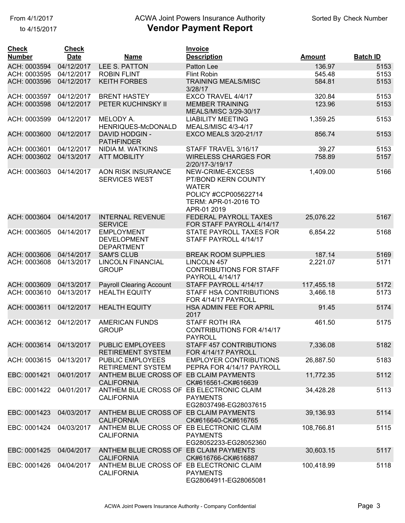to 4/15/2017

#### From 4/1/2017 **Example 20 Transform Controller Authority** Check Number Check Number

| <b>Check</b><br><b>Number</b> | <b>Check</b><br><b>Date</b> | <b>Name</b>                                                   | Invoice<br><b>Description</b>                                                                                                 | <b>Amount</b> | <b>Batch ID</b> |
|-------------------------------|-----------------------------|---------------------------------------------------------------|-------------------------------------------------------------------------------------------------------------------------------|---------------|-----------------|
| ACH: 0003594                  | 04/12/2017                  | LEE S. PATTON                                                 | Patton Lee                                                                                                                    | 136.97        | 5153            |
| ACH: 0003595                  | 04/12/2017                  | <b>ROBIN FLINT</b>                                            | <b>Flint Robin</b>                                                                                                            | 545.48        | 5153            |
| ACH: 0003596                  | 04/12/2017                  | <b>KEITH FORBES</b>                                           | <b>TRAINING MEALS/MISC</b><br>3/28/17                                                                                         | 584.81        | 5153            |
| ACH: 0003597                  | 04/12/2017                  | <b>BRENT HASTEY</b>                                           | EXCO TRAVEL 4/4/17                                                                                                            | 320.84        | 5153            |
| ACH: 0003598                  | 04/12/2017                  | PETER KUCHINSKY II                                            | <b>MEMBER TRAINING</b><br>MEALS/MISC 3/29-30/17                                                                               | 123.96        | 5153            |
| ACH: 0003599                  | 04/12/2017                  | MELODY A.<br>HENRIQUES-McDONALD                               | <b>LIABILITY MEETING</b><br><b>MEALS/MISC 4/3-4/17</b>                                                                        | 1,359.25      | 5153            |
| ACH: 0003600                  | 04/12/2017                  | <b>DAVID HODGIN -</b><br><b>PATHFINDER</b>                    | EXCO MEALS 3/20-21/17                                                                                                         | 856.74        | 5153            |
| ACH: 0003601                  | 04/12/2017                  | NIDIA M. WATKINS                                              | STAFF TRAVEL 3/16/17                                                                                                          | 39.27         | 5153            |
| ACH: 0003602                  | 04/13/2017                  | <b>ATT MOBILITY</b>                                           | <b>WIRELESS CHARGES FOR</b><br>2/20/17-3/19/17                                                                                | 758.89        | 5157            |
| ACH: 0003603                  | 04/14/2017                  | AON RISK INSURANCE<br><b>SERVICES WEST</b>                    | NEW-CRIME-EXCESS<br>PT/BOND KERN COUNTY<br><b>WATER</b><br>POLICY #CCP005622714<br><b>TERM: APR-01-2016 TO</b><br>APR-01 2019 | 1,409.00      | 5166            |
| ACH: 0003604                  | 04/14/2017                  | <b>INTERNAL REVENUE</b><br><b>SERVICE</b>                     | FEDERAL PAYROLL TAXES<br>FOR STAFF PAYROLL 4/14/17                                                                            | 25,076.22     | 5167            |
| ACH: 0003605                  | 04/14/2017                  | <b>EMPLOYMENT</b><br><b>DEVELOPMENT</b><br><b>DEPARTMENT</b>  | STATE PAYROLL TAXES FOR<br>STAFF PAYROLL 4/14/17                                                                              | 6,854.22      | 5168            |
| ACH: 0003606                  | 04/14/2017                  | <b>SAM'S CLUB</b>                                             | <b>BREAK ROOM SUPPLIES</b>                                                                                                    | 187.14        | 5169            |
| ACH: 0003608                  | 04/13/2017                  | <b>LINCOLN FINANCIAL</b><br><b>GROUP</b>                      | LINCOLN 457<br><b>CONTRIBUTIONS FOR STAFF</b><br>PAYROLL 4/14/17                                                              | 2,221.07      | 5171            |
| ACH: 0003609                  | 04/13/2017                  | <b>Payroll Clearing Account</b>                               | STAFF PAYROLL 4/14/17                                                                                                         | 117,455.18    | 5172            |
| ACH: 0003610                  | 04/13/2017                  | <b>HEALTH EQUITY</b>                                          | STAFF HSA CONTRIBUTIONS<br>FOR 4/14/17 PAYROLL                                                                                | 3,466.18      | 5173            |
| ACH: 0003611                  | 04/12/2017                  | <b>HEALTH EQUITY</b>                                          | HSA ADMIN FEE FOR APRIL<br>2017                                                                                               | 91.45         | 5174            |
| ACH: 0003612                  | 04/12/2017                  | <b>AMERICAN FUNDS</b><br><b>GROUP</b>                         | <b>STAFF ROTH IRA</b><br>CONTRIBUTIONS FOR 4/14/17<br><b>PAYROLL</b>                                                          | 461.50        | 5175            |
| ACH: 0003614 04/13/2017       |                             | <b>PUBLIC EMPLOYEES</b><br><b>RETIREMENT SYSTEM</b>           | STAFF 457 CONTRIBUTIONS<br>FOR 4/14/17 PAYROLL                                                                                | 7,336.08      | 5182            |
| ACH: 0003615                  | 04/13/2017                  | PUBLIC EMPLOYEES<br><b>RETIREMENT SYSTEM</b>                  | <b>EMPLOYER CONTRIBUTIONS</b><br>PEPRA FOR 4/14/17 PAYROLL                                                                    | 26,887.50     | 5183            |
| EBC: 0001421                  | 04/01/2017                  | ANTHEM BLUE CROSS OF EB CLAIM PAYMENTS<br><b>CALIFORNIA</b>   | CK#616561-CK#616639                                                                                                           | 11,772.35     | 5112            |
| EBC: 0001422                  | 04/01/2017                  | ANTHEM BLUE CROSS OF EB ELECTRONIC CLAIM<br><b>CALIFORNIA</b> | <b>PAYMENTS</b><br>EG28037498-EG28037615                                                                                      | 34,428.28     | 5113            |
| EBC: 0001423                  | 04/03/2017                  | ANTHEM BLUE CROSS OF EB CLAIM PAYMENTS<br><b>CALIFORNIA</b>   | CK#616640-CK#616765                                                                                                           | 39,136.93     | 5114            |
| EBC: 0001424                  | 04/03/2017                  | ANTHEM BLUE CROSS OF EB ELECTRONIC CLAIM<br><b>CALIFORNIA</b> | <b>PAYMENTS</b><br>EG28052233-EG28052360                                                                                      | 108,766.81    | 5115            |
| EBC: 0001425                  | 04/04/2017                  | ANTHEM BLUE CROSS OF EB CLAIM PAYMENTS<br><b>CALIFORNIA</b>   | CK#616766-CK#616887                                                                                                           | 30,603.15     | 5117            |
| EBC: 0001426                  | 04/04/2017                  | ANTHEM BLUE CROSS OF EB ELECTRONIC CLAIM<br><b>CALIFORNIA</b> | <b>PAYMENTS</b><br>EG28064911-EG28065081                                                                                      | 100,418.99    | 5118            |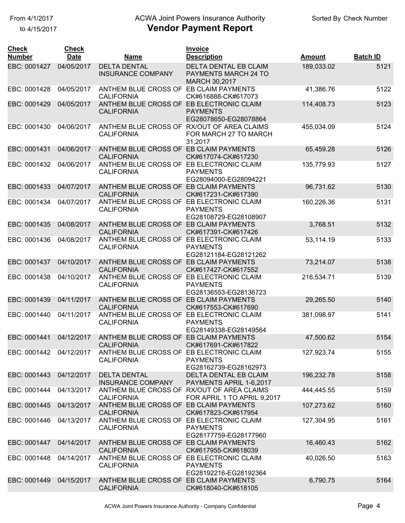### From 4/1/2017 **Example 20 Transform Controller Authority** Check Number Check Number

| <b>Check</b><br><b>Number</b> | <b>Check</b><br><b>Date</b> | <u>Name</u>                                                     | <b>Invoice</b><br><b>Description</b>             | <u>Amount</u> | <b>Batch ID</b> |
|-------------------------------|-----------------------------|-----------------------------------------------------------------|--------------------------------------------------|---------------|-----------------|
| EBC: 0001427                  | 04/05/2017                  | <b>DELTA DENTAL</b>                                             | DELTA DENTAL EB CLAIM                            | 189,033.02    | 5121            |
|                               |                             | <b>INSURANCE COMPANY</b>                                        | PAYMENTS MARCH 24 TO<br>MARCH 30,2017            |               |                 |
| EBC: 0001428                  | 04/05/2017                  | ANTHEM BLUE CROSS OF EB CLAIM PAYMENTS<br><b>CALIFORNIA</b>     | CK#616888-CK#617073                              | 41,386.76     | 5122            |
| EBC: 0001429                  | 04/05/2017                  | ANTHEM BLUE CROSS OF EB ELECTRONIC CLAIM<br><b>CALIFORNIA</b>   | <b>PAYMENTS</b><br>EG28078650-EG28078864         | 114,408.73    | 5123            |
| EBC: 0001430                  | 04/06/2017                  | ANTHEM BLUE CROSS OF RX/OUT OF AREA CLAIMS<br><b>CALIFORNIA</b> | FOR MARCH 27 TO MARCH<br>31,2017                 | 455,034.09    | 5124            |
| EBC: 0001431                  | 04/06/2017                  | ANTHEM BLUE CROSS OF EB CLAIM PAYMENTS<br><b>CALIFORNIA</b>     | CK#617074-CK#617230                              | 65,459.28     | 5126            |
| EBC: 0001432                  | 04/06/2017                  | ANTHEM BLUE CROSS OF EB ELECTRONIC CLAIM<br><b>CALIFORNIA</b>   | <b>PAYMENTS</b><br>EG28094000-EG28094221         | 135,779.93    | 5127            |
| EBC: 0001433                  | 04/07/2017                  | ANTHEM BLUE CROSS OF EB CLAIM PAYMENTS<br><b>CALIFORNIA</b>     | CK#617231-CK#617390                              | 96,731.62     | 5130            |
| EBC: 0001434                  | 04/07/2017                  | ANTHEM BLUE CROSS OF EB ELECTRONIC CLAIM<br><b>CALIFORNIA</b>   | <b>PAYMENTS</b><br>EG28108729-EG28108907         | 160,226.36    | 5131            |
| EBC: 0001435                  | 04/08/2017                  | ANTHEM BLUE CROSS OF EB CLAIM PAYMENTS<br><b>CALIFORNIA</b>     | CK#617391-CK#617426                              | 3,768.51      | 5132            |
| EBC: 0001436                  | 04/08/2017                  | ANTHEM BLUE CROSS OF EB ELECTRONIC CLAIM<br><b>CALIFORNIA</b>   | <b>PAYMENTS</b><br>EG28121184-EG28121262         | 53,114.19     | 5133            |
| EBC: 0001437                  | 04/10/2017                  | ANTHEM BLUE CROSS OF EB CLAIM PAYMENTS<br><b>CALIFORNIA</b>     | CK#617427-CK#617552                              | 73,214.07     | 5138            |
| EBC: 0001438                  | 04/10/2017                  | ANTHEM BLUE CROSS OF EB ELECTRONIC CLAIM<br><b>CALIFORNIA</b>   | <b>PAYMENTS</b><br>EG28136553-EG28136723         | 216,534.71    | 5139            |
| EBC: 0001439                  | 04/11/2017                  | ANTHEM BLUE CROSS OF EB CLAIM PAYMENTS<br><b>CALIFORNIA</b>     | CK#617553-CK#617690                              | 29,265.50     | 5140            |
| EBC: 0001440                  | 04/11/2017                  | ANTHEM BLUE CROSS OF EB ELECTRONIC CLAIM<br><b>CALIFORNIA</b>   | <b>PAYMENTS</b><br>EG28149338-EG28149564         | 381,098.97    | 5141            |
| EBC: 0001441                  | 04/12/2017                  | ANTHEM BLUE CROSS OF EB CLAIM PAYMENTS<br><b>CALIFORNIA</b>     | CK#617691-CK#617822                              | 47,500.62     | 5154            |
| EBC: 0001442                  | 04/12/2017                  | ANTHEM BLUE CROSS OF EB ELECTRONIC CLAIM<br><b>CALIFORNIA</b>   | <b>PAYMENTS</b><br>EG28162739-EG28162973         | 127,923.74    | 5155            |
| EBC: 0001443                  | 04/12/2017                  | <b>DELTA DENTAL</b><br><b>INSURANCE COMPANY</b>                 | DELTA DENTAL EB CLAIM<br>PAYMENTS APRIL 1-6,2017 | 196,232.78    | 5158            |
| EBC: 0001444                  | 04/13/2017                  | ANTHEM BLUE CROSS OF RX/OUT OF AREA CLAIMS<br><b>CALIFORNIA</b> | FOR APRIL 1 TO APRIL 9,2017                      | 444,445.55    | 5159            |
| EBC: 0001445                  | 04/13/2017                  | ANTHEM BLUE CROSS OF EB CLAIM PAYMENTS<br><b>CALIFORNIA</b>     | CK#617823-CK#617954                              | 107,273.62    | 5160            |
| EBC: 0001446                  | 04/13/2017                  | ANTHEM BLUE CROSS OF EB ELECTRONIC CLAIM<br><b>CALIFORNIA</b>   | <b>PAYMENTS</b><br>EG28177759-EG28177960         | 127,304.95    | 5161            |
| EBC: 0001447                  | 04/14/2017                  | ANTHEM BLUE CROSS OF EB CLAIM PAYMENTS<br><b>CALIFORNIA</b>     | CK#617955-CK#618039                              | 16,460.43     | 5162            |
| EBC: 0001448                  | 04/14/2017                  | ANTHEM BLUE CROSS OF EB ELECTRONIC CLAIM<br><b>CALIFORNIA</b>   | <b>PAYMENTS</b><br>EG28192216-EG28192364         | 40,026.50     | 5163            |
| EBC: 0001449                  | 04/15/2017                  | ANTHEM BLUE CROSS OF EB CLAIM PAYMENTS<br><b>CALIFORNIA</b>     | CK#618040-CK#618105                              | 6,790.75      | 5164            |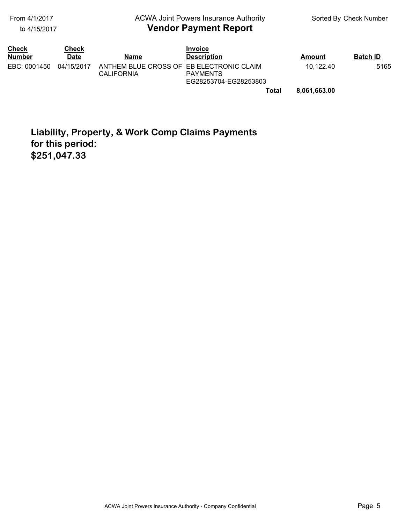#### to 4/15/2017

#### **Vendor Payment Report** From 4/1/2017 **Example 20 Transform Controller Authority** Check Number Check Number

| <b>Check</b><br><b>Number</b> | Check<br>Date | Name                                                          | <b>Invoice</b><br><b>Description</b>     | Amount    | <b>Batch ID</b> |
|-------------------------------|---------------|---------------------------------------------------------------|------------------------------------------|-----------|-----------------|
| EBC: 0001450                  | 04/15/2017    | ANTHEM BLUE CROSS OF EB ELECTRONIC CLAIM<br><b>CALIFORNIA</b> | <b>PAYMENTS</b><br>EG28253704-EG28253803 | 10.122.40 | 5165            |

**Total 8,061,663.00** 

# **Liability, Property, & Work Comp Claims Payments for this period: \$251,047.33**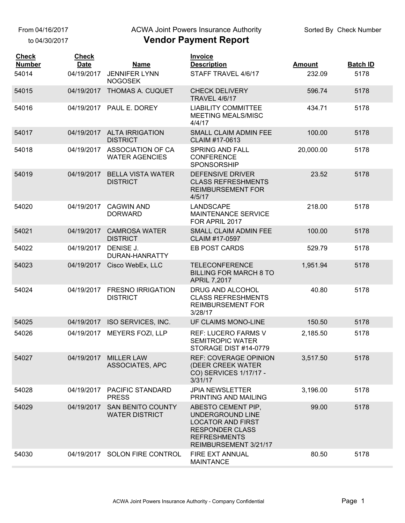From 04/16/2017

to 04/30/2017

#### ACWA Joint Powers Insurance Authority

| <b>Check</b><br><b>Number</b> | <b>Check</b><br><b>Date</b> | <b>Name</b>                                       | <b>Invoice</b><br><b>Description</b>                                                                                                         | <b>Amount</b> | <b>Batch ID</b> |
|-------------------------------|-----------------------------|---------------------------------------------------|----------------------------------------------------------------------------------------------------------------------------------------------|---------------|-----------------|
| 54014                         | 04/19/2017                  | <b>JENNIFER LYNN</b><br><b>NOGOSEK</b>            | STAFF TRAVEL 4/6/17                                                                                                                          | 232.09        | 5178            |
| 54015                         | 04/19/2017                  | THOMAS A. CUQUET                                  | <b>CHECK DELIVERY</b><br><b>TRAVEL 4/6/17</b>                                                                                                | 596.74        | 5178            |
| 54016                         |                             | 04/19/2017 PAUL E. DOREY                          | <b>LIABILITY COMMITTEE</b><br><b>MEETING MEALS/MISC</b><br>4/4/17                                                                            | 434.71        | 5178            |
| 54017                         |                             | 04/19/2017 ALTA IRRIGATION<br><b>DISTRICT</b>     | SMALL CLAIM ADMIN FEE<br>CLAIM #17-0613                                                                                                      | 100.00        | 5178            |
| 54018                         | 04/19/2017                  | ASSOCIATION OF CA<br><b>WATER AGENCIES</b>        | <b>SPRING AND FALL</b><br><b>CONFERENCE</b><br>SPONSORSHIP                                                                                   | 20,000.00     | 5178            |
| 54019                         | 04/19/2017                  | <b>BELLA VISTA WATER</b><br><b>DISTRICT</b>       | <b>DEFENSIVE DRIVER</b><br><b>CLASS REFRESHMENTS</b><br><b>REIMBURSEMENT FOR</b><br>4/5/17                                                   | 23.52         | 5178            |
| 54020                         | 04/19/2017                  | <b>CAGWIN AND</b><br><b>DORWARD</b>               | LANDSCAPE<br><b>MAINTENANCE SERVICE</b><br>FOR APRIL 2017                                                                                    | 218.00        | 5178            |
| 54021                         | 04/19/2017                  | <b>CAMROSA WATER</b><br><b>DISTRICT</b>           | <b>SMALL CLAIM ADMIN FEE</b><br>CLAIM #17-0597                                                                                               | 100.00        | 5178            |
| 54022                         | 04/19/2017                  | DENISE J.<br>DURAN-HANRATTY                       | EB POST CARDS                                                                                                                                | 529.79        | 5178            |
| 54023                         | 04/19/2017                  | Cisco WebEx, LLC                                  | <b>TELECONFERENCE</b><br><b>BILLING FOR MARCH 8 TO</b><br><b>APRIL 7,2017</b>                                                                | 1,951.94      | 5178            |
| 54024                         | 04/19/2017                  | <b>FRESNO IRRIGATION</b><br><b>DISTRICT</b>       | DRUG AND ALCOHOL<br><b>CLASS REFRESHMENTS</b><br><b>REIMBURSEMENT FOR</b><br>3/28/17                                                         | 40.80         | 5178            |
| 54025                         |                             | 04/19/2017 ISO SERVICES, INC.                     | UF CLAIMS MONO-LINE                                                                                                                          | 150.50        | 5178            |
| 54026                         | 04/19/2017                  | <b>MEYERS FOZI, LLP</b>                           | <b>REF: LUCERO FARMS V</b><br><b>SEMITROPIC WATER</b><br>STORAGE DIST #14-0779                                                               | 2,185.50      | 5178            |
| 54027                         | 04/19/2017                  | <b>MILLER LAW</b><br>ASSOCIATES, APC              | <b>REF: COVERAGE OPINION</b><br>(DEER CREEK WATER<br>CO) SERVICES 1/17/17 -<br>3/31/17                                                       | 3,517.50      | 5178            |
| 54028                         | 04/19/2017                  | <b>PACIFIC STANDARD</b><br><b>PRESS</b>           | <b>JPIA NEWSLETTER</b><br>PRINTING AND MAILING                                                                                               | 3,196.00      | 5178            |
| 54029                         | 04/19/2017                  | <b>SAN BENITO COUNTY</b><br><b>WATER DISTRICT</b> | ABESTO CEMENT PIP,<br>UNDERGROUND LINE<br><b>LOCATOR AND FIRST</b><br><b>RESPONDER CLASS</b><br><b>REFRESHMENTS</b><br>REIMBURSEMENT 3/21/17 | 99.00         | 5178            |
| 54030                         |                             | 04/19/2017 SOLON FIRE CONTROL                     | FIRE EXT ANNUAL<br><b>MAINTANCE</b>                                                                                                          | 80.50         | 5178            |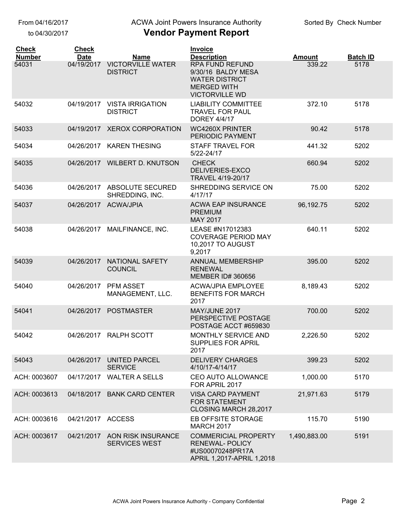From 04/16/2017

to 04/30/2017

#### ACWA Joint Powers Insurance Authority

| <b>Check</b>  | <b>Check</b>      |                                                       | <b>Invoice</b>                                                                                                       |               |                 |
|---------------|-------------------|-------------------------------------------------------|----------------------------------------------------------------------------------------------------------------------|---------------|-----------------|
| <b>Number</b> | <b>Date</b>       | <b>Name</b>                                           | <b>Description</b>                                                                                                   | <b>Amount</b> | <b>Batch ID</b> |
| 54031         | 04/19/2017        | <b>VICTORVILLE WATER</b><br><b>DISTRICT</b>           | <b>RPA FUND REFUND</b><br>9/30/16 BALDY MESA<br><b>WATER DISTRICT</b><br><b>MERGED WITH</b><br><b>VICTORVILLE WD</b> | 339.22        | 5178            |
| 54032         | 04/19/2017        | <b>VISTA IRRIGATION</b><br><b>DISTRICT</b>            | <b>LIABILITY COMMITTEE</b><br><b>TRAVEL FOR PAUL</b><br><b>DOREY 4/4/17</b>                                          | 372.10        | 5178            |
| 54033         | 04/19/2017        | <b>XEROX CORPORATION</b>                              | <b>WC4260X PRINTER</b><br>PERIODIC PAYMENT                                                                           | 90.42         | 5178            |
| 54034         | 04/26/2017        | <b>KAREN THESING</b>                                  | <b>STAFF TRAVEL FOR</b><br>5/22-24/17                                                                                | 441.32        | 5202            |
| 54035         | 04/26/2017        | <b>WILBERT D. KNUTSON</b>                             | <b>CHECK</b><br>DELIVERIES-EXCO<br>TRAVEL 4/19-20/17                                                                 | 660.94        | 5202            |
| 54036         | 04/26/2017        | ABSOLUTE SECURED<br>SHREDDING, INC.                   | SHREDDING SERVICE ON<br>4/17/17                                                                                      | 75.00         | 5202            |
| 54037         |                   | 04/26/2017 ACWA/JPIA                                  | <b>ACWA EAP INSURANCE</b><br><b>PREMIUM</b><br>MAY 2017                                                              | 96,192.75     | 5202            |
| 54038         | 04/26/2017        | MAILFINANCE, INC.                                     | LEASE #N17012383<br><b>COVERAGE PERIOD MAY</b><br><b>10,2017 TO AUGUST</b><br>9,2017                                 | 640.11        | 5202            |
| 54039         | 04/26/2017        | NATIONAL SAFETY<br><b>COUNCIL</b>                     | <b>ANNUAL MEMBERSHIP</b><br><b>RENEWAL</b><br><b>MEMBER ID# 360656</b>                                               | 395.00        | 5202            |
| 54040         | 04/26/2017        | PFM ASSET<br>MANAGEMENT, LLC.                         | <b>ACWA/JPIA EMPLOYEE</b><br><b>BENEFITS FOR MARCH</b><br>2017                                                       | 8,189.43      | 5202            |
| 54041         | 04/26/2017        | <b>POSTMASTER</b>                                     | MAY/JUNE 2017<br>PERSPECTIVE POSTAGE<br>POSTAGE ACCT #659830                                                         | 700.00        | 5202            |
| 54042         |                   | 04/26/2017 RALPH SCOTT                                | <b>MONTHLY SERVICE AND</b><br><b>SUPPLIES FOR APRIL</b><br>2017                                                      | 2,226.50      | 5202            |
| 54043         | 04/26/2017        | <b>UNITED PARCEL</b><br><b>SERVICE</b>                | <b>DELIVERY CHARGES</b><br>4/10/17-4/14/17                                                                           | 399.23        | 5202            |
| ACH: 0003607  | 04/17/2017        | <b>WALTER A SELLS</b>                                 | CEO AUTO ALLOWANCE<br>FOR APRIL 2017                                                                                 | 1,000.00      | 5170            |
| ACH: 0003613  | 04/18/2017        | <b>BANK CARD CENTER</b>                               | <b>VISA CARD PAYMENT</b><br><b>FOR STATEMENT</b><br>CLOSING MARCH 28,2017                                            | 21,971.63     | 5179            |
| ACH: 0003616  | 04/21/2017 ACCESS |                                                       | EB OFFSITE STORAGE<br><b>MARCH 2017</b>                                                                              | 115.70        | 5190            |
| ACH: 0003617  |                   | 04/21/2017 AON RISK INSURANCE<br><b>SERVICES WEST</b> | <b>COMMERICIAL PROPERTY</b><br><b>RENEWAL-POLICY</b><br>#US00070248PR17A<br>APRIL 1,2017-APRIL 1,2018                | 1,490,883.00  | 5191            |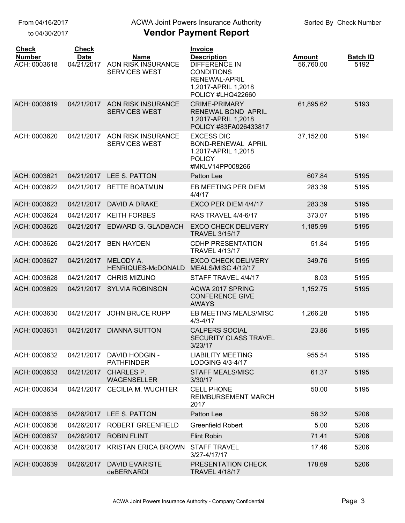From 04/16/2017

to 04/30/2017

#### ACWA Joint Powers Insurance Authority

| <b>Check</b><br><b>Number</b><br>ACH: 0003618 | <b>Check</b><br><b>Date</b><br>04/21/2017 | <b>Name</b><br>AON RISK INSURANCE<br>SERVICES WEST | <b>Invoice</b><br><b>Description</b><br><b>DIFFERENCE IN</b><br><b>CONDITIONS</b><br><b>RENEWAL-APRIL</b><br>1,2017-APRIL 1,2018<br>POLICY #LHQ422660 | <b>Amount</b><br>56,760.00 | <b>Batch ID</b><br>5192 |
|-----------------------------------------------|-------------------------------------------|----------------------------------------------------|-------------------------------------------------------------------------------------------------------------------------------------------------------|----------------------------|-------------------------|
| ACH: 0003619                                  | 04/21/2017                                | AON RISK INSURANCE<br><b>SERVICES WEST</b>         | <b>CRIME-PRIMARY</b><br><b>RENEWAL BOND APRIL</b><br>1,2017-APRIL 1,2018<br>POLICY #83FA026433817                                                     | 61,895.62                  | 5193                    |
| ACH: 0003620                                  | 04/21/2017                                | AON RISK INSURANCE<br><b>SERVICES WEST</b>         | <b>EXCESS DIC</b><br>BOND-RENEWAL APRIL<br>1.2017-APRIL 1,2018<br><b>POLICY</b><br>#MKLV14PP008266                                                    | 37,152.00                  | 5194                    |
| ACH: 0003621                                  | 04/21/2017                                | LEE S. PATTON                                      | Patton Lee                                                                                                                                            | 607.84                     | 5195                    |
| ACH: 0003622                                  | 04/21/2017                                | <b>BETTE BOATMUN</b>                               | EB MEETING PER DIEM<br>4/4/17                                                                                                                         | 283.39                     | 5195                    |
| ACH: 0003623                                  | 04/21/2017                                | <b>DAVID A DRAKE</b>                               | EXCO PER DIEM 4/4/17                                                                                                                                  | 283.39                     | 5195                    |
| ACH: 0003624                                  | 04/21/2017                                | <b>KEITH FORBES</b>                                | <b>RAS TRAVEL 4/4-6/17</b>                                                                                                                            | 373.07                     | 5195                    |
| ACH: 0003625                                  | 04/21/2017                                | EDWARD G. GLADBACH                                 | <b>EXCO CHECK DELIVERY</b><br><b>TRAVEL 3/15/17</b>                                                                                                   | 1,185.99                   | 5195                    |
| ACH: 0003626                                  | 04/21/2017                                | <b>BEN HAYDEN</b>                                  | <b>CDHP PRESENTATION</b><br><b>TRAVEL 4/13/17</b>                                                                                                     | 51.84                      | 5195                    |
| ACH: 0003627                                  | 04/21/2017                                | MELODY A.<br>HENRIQUES-McDONALD                    | <b>EXCO CHECK DELIVERY</b><br>MEALS/MISC 4/12/17                                                                                                      | 349.76                     | 5195                    |
| ACH: 0003628                                  | 04/21/2017                                | <b>CHRIS MIZUNO</b>                                | STAFF TRAVEL 4/4/17                                                                                                                                   | 8.03                       | 5195                    |
| ACH: 0003629                                  | 04/21/2017                                | <b>SYLVIA ROBINSON</b>                             | ACWA 2017 SPRING<br><b>CONFERENCE GIVE</b><br><b>AWAYS</b>                                                                                            | 1,152.75                   | 5195                    |
| ACH: 0003630                                  | 04/21/2017                                | <b>JOHN BRUCE RUPP</b>                             | EB MEETING MEALS/MISC<br>$4/3 - 4/17$                                                                                                                 | 1,266.28                   | 5195                    |
| ACH: 0003631                                  | 04/21/2017                                | <b>DIANNA SUTTON</b>                               | <b>CALPERS SOCIAL</b><br><b>SECURITY CLASS TRAVEL</b><br>3/23/17                                                                                      | 23.86                      | 5195                    |
| ACH: 0003632                                  | 04/21/2017                                | <b>DAVID HODGIN -</b><br><b>PATHFINDER</b>         | <b>LIABILITY MEETING</b><br>LODGING 4/3-4/17                                                                                                          | 955.54                     | 5195                    |
| ACH: 0003633                                  | 04/21/2017                                | <b>CHARLES P.</b><br><b>WAGENSELLER</b>            | <b>STAFF MEALS/MISC</b><br>3/30/17                                                                                                                    | 61.37                      | 5195                    |
| ACH: 0003634                                  | 04/21/2017                                | <b>CECILIA M. WUCHTER</b>                          | <b>CELL PHONE</b><br><b>REIMBURSEMENT MARCH</b><br>2017                                                                                               | 50.00                      | 5195                    |
| ACH: 0003635                                  | 04/26/2017                                | LEE S. PATTON                                      | Patton Lee                                                                                                                                            | 58.32                      | 5206                    |
| ACH: 0003636                                  | 04/26/2017                                | ROBERT GREENFIELD                                  | <b>Greenfield Robert</b>                                                                                                                              | 5.00                       | 5206                    |
| ACH: 0003637                                  | 04/26/2017                                | <b>ROBIN FLINT</b>                                 | <b>Flint Robin</b>                                                                                                                                    | 71.41                      | 5206                    |
| ACH: 0003638                                  | 04/26/2017                                | <b>KRISTAN ERICA BROWN</b>                         | <b>STAFF TRAVEL</b><br>3/27-4/17/17                                                                                                                   | 17.46                      | 5206                    |
| ACH: 0003639                                  | 04/26/2017                                | <b>DAVID EVARISTE</b><br>deBERNARDI                | PRESENTATION CHECK<br><b>TRAVEL 4/18/17</b>                                                                                                           | 178.69                     | 5206                    |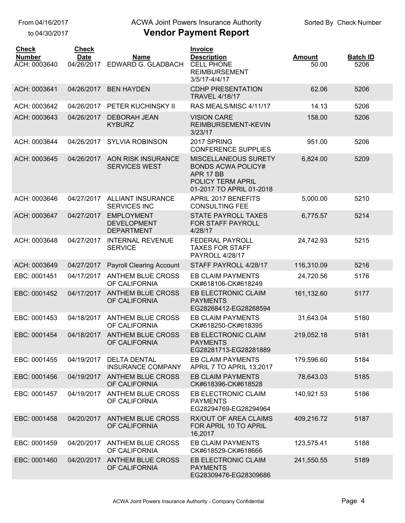to 04/30/2017

### ACWA Joint Powers Insurance Authority

| <b>Check</b><br><b>Number</b><br>ACH: 0003640 | <b>Check</b><br><b>Date</b><br>04/26/2017 | <b>Name</b><br>EDWARD G. GLADBACH                            | <b>Invoice</b><br><b>Description</b><br><b>CELL PHONE</b><br><b>REIMBURSEMENT</b><br>3/5/17-4/4/17              | <b>Amount</b><br>50.00 | <b>Batch ID</b><br>5206 |
|-----------------------------------------------|-------------------------------------------|--------------------------------------------------------------|-----------------------------------------------------------------------------------------------------------------|------------------------|-------------------------|
| ACH: 0003641                                  | 04/26/2017                                | <b>BEN HAYDEN</b>                                            | <b>CDHP PRESENTATION</b><br><b>TRAVEL 4/18/17</b>                                                               | 62.06                  | 5206                    |
| ACH: 0003642                                  | 04/26/2017                                | PETER KUCHINSKY II                                           | RAS MEALS/MISC 4/11/17                                                                                          | 14.13                  | 5206                    |
| ACH: 0003643                                  | 04/26/2017                                | <b>DEBORAH JEAN</b><br><b>KYBURZ</b>                         | <b>VISION CARE</b><br>REIMBURSEMENT-KEVIN<br>3/23/17                                                            | 158.00                 | 5206                    |
| ACH: 0003644                                  | 04/26/2017                                | <b>SYLVIA ROBINSON</b>                                       | 2017 SPRING<br><b>CONFERENCE SUPPLIES</b>                                                                       | 951.00                 | 5206                    |
| ACH: 0003645                                  | 04/26/2017                                | <b>AON RISK INSURANCE</b><br><b>SERVICES WEST</b>            | MISCELLANEOUS SURETY<br><b>BONDS ACWA POLICY#</b><br>APR 17 BB<br>POLICY TERM APRIL<br>01-2017 TO APRIL 01-2018 | 6,824.00               | 5209                    |
| ACH: 0003646                                  | 04/27/2017                                | <b>ALLIANT INSURANCE</b><br><b>SERVICES INC</b>              | APRIL 2017 BENEFITS<br><b>CONSULTING FEE</b>                                                                    | 5,000.00               | 5210                    |
| ACH: 0003647                                  | 04/27/2017                                | <b>EMPLOYMENT</b><br><b>DEVELOPMENT</b><br><b>DEPARTMENT</b> | <b>STATE PAYROLL TAXES</b><br>FOR STAFF PAYROLL<br>4/28/17                                                      | 6,775.57               | 5214                    |
| ACH: 0003648                                  | 04/27/2017                                | <b>INTERNAL REVENUE</b><br><b>SERVICE</b>                    | FEDERAL PAYROLL<br><b>TAXES FOR STAFF</b><br>PAYROLL 4/28/17                                                    | 24,742.93              | 5215                    |
| ACH: 0003649                                  | 04/27/2017                                | <b>Payroll Clearing Account</b>                              | STAFF PAYROLL 4/28/17                                                                                           | 116,310.09             | 5216                    |
| EBC: 0001451                                  | 04/17/2017                                | <b>ANTHEM BLUE CROSS</b><br>OF CALIFORNIA                    | <b>EB CLAIM PAYMENTS</b><br>CK#618106-CK#618249                                                                 | 24,720.56              | 5176                    |
| EBC: 0001452                                  | 04/17/2017                                | <b>ANTHEM BLUE CROSS</b><br>OF CALIFORNIA                    | EB ELECTRONIC CLAIM<br><b>PAYMENTS</b><br>EG28268412-EG28268594                                                 | 161,132.60             | 5177                    |
| EBC: 0001453                                  | 04/18/2017                                | <b>ANTHEM BLUE CROSS</b><br>OF CALIFORNIA                    | <b>EB CLAIM PAYMENTS</b><br>CK#618250-CK#618395                                                                 | 31,643.04              | 5180                    |
| EBC: 0001454                                  | 04/18/2017                                | <b>ANTHEM BLUE CROSS</b><br>OF CALIFORNIA                    | EB ELECTRONIC CLAIM<br><b>PAYMENTS</b><br>EG28281713-EG28281889                                                 | 219,052.18             | 5181                    |
| EBC: 0001455                                  | 04/19/2017                                | <b>DELTA DENTAL</b><br><b>INSURANCE COMPANY</b>              | <b>EB CLAIM PAYMENTS</b><br>APRIL 7 TO APRIL 13,2017                                                            | 179,596.60             | 5184                    |
| EBC: 0001456                                  | 04/19/2017                                | <b>ANTHEM BLUE CROSS</b><br>OF CALIFORNIA                    | <b>EB CLAIM PAYMENTS</b><br>CK#618396-CK#618528                                                                 | 78,643.03              | 5185                    |
| EBC: 0001457                                  | 04/19/2017                                | <b>ANTHEM BLUE CROSS</b><br>OF CALIFORNIA                    | EB ELECTRONIC CLAIM<br><b>PAYMENTS</b><br>EG28294769-EG28294964                                                 | 140,921.53             | 5186                    |
| EBC: 0001458                                  | 04/20/2017                                | ANTHEM BLUE CROSS<br>OF CALIFORNIA                           | RX/OUT OF AREA CLAIMS<br>FOR APRIL 10 TO APRIL<br>16,2017                                                       | 409,216.72             | 5187                    |
| EBC: 0001459                                  | 04/20/2017                                | <b>ANTHEM BLUE CROSS</b><br>OF CALIFORNIA                    | EB CLAIM PAYMENTS<br>CK#618529-CK#618666                                                                        | 123,575.41             | 5188                    |
| EBC: 0001460                                  | 04/20/2017                                | <b>ANTHEM BLUE CROSS</b><br>OF CALIFORNIA                    | EB ELECTRONIC CLAIM<br><b>PAYMENTS</b><br>EG28309476-EG28309686                                                 | 241,550.55             | 5189                    |
|                                               |                                           |                                                              |                                                                                                                 |                        |                         |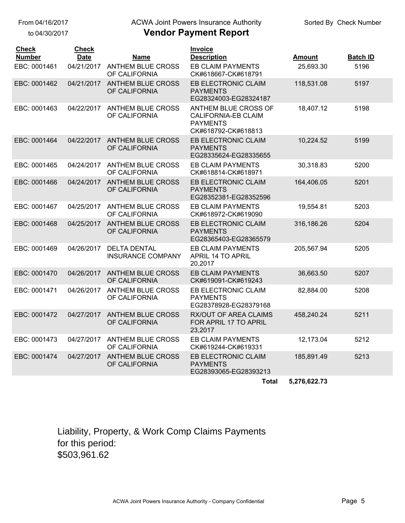to 04/30/2017

# ACWA Joint Powers Insurance Authority

# **Vendor Payment Report**

| <b>Check</b><br><b>Number</b><br>EBC: 0001461 | <b>Check</b><br><b>Date</b><br>04/21/2017 | Name<br>ANTHEM BLUE CROSS                       | Invoice<br><b>Description</b><br><b>EB CLAIM PAYMENTS</b>                             | <b>Amount</b><br>25,693.30 | <b>Batch ID</b><br>5196 |
|-----------------------------------------------|-------------------------------------------|-------------------------------------------------|---------------------------------------------------------------------------------------|----------------------------|-------------------------|
|                                               |                                           | OF CALIFORNIA                                   | CK#618667-CK#618791                                                                   |                            |                         |
| EBC: 0001462                                  |                                           | 04/21/2017 ANTHEM BLUE CROSS<br>OF CALIFORNIA   | EB ELECTRONIC CLAIM<br><b>PAYMENTS</b><br>EG28324003-EG28324187                       | 118,531.08                 | 5197                    |
| EBC: 0001463                                  | 04/22/2017                                | <b>ANTHEM BLUE CROSS</b><br>OF CALIFORNIA       | ANTHEM BLUE CROSS OF<br>CALIFORNIA-EB CLAIM<br><b>PAYMENTS</b><br>CK#618792-CK#618813 | 18,407.12                  | 5198                    |
| EBC: 0001464                                  | 04/22/2017                                | <b>ANTHEM BLUE CROSS</b><br>OF CALIFORNIA       | EB ELECTRONIC CLAIM<br><b>PAYMENTS</b><br>EG28335624-EG28335655                       | 10,224.52                  | 5199                    |
| EBC: 0001465                                  | 04/24/2017                                | <b>ANTHEM BLUE CROSS</b><br>OF CALIFORNIA       | EB CLAIM PAYMENTS<br>CK#618814-CK#618971                                              | 30,318.83                  | 5200                    |
| EBC: 0001466                                  | 04/24/2017                                | <b>ANTHEM BLUE CROSS</b><br>OF CALIFORNIA       | EB ELECTRONIC CLAIM<br><b>PAYMENTS</b><br>EG28352381-EG28352596                       | 164,406.05                 | 5201                    |
| EBC: 0001467                                  | 04/25/2017                                | ANTHEM BLUE CROSS<br>OF CALIFORNIA              | <b>EB CLAIM PAYMENTS</b><br>CK#618972-CK#619090                                       | 19,554.81                  | 5203                    |
| EBC: 0001468                                  | 04/25/2017                                | <b>ANTHEM BLUE CROSS</b><br>OF CALIFORNIA       | EB ELECTRONIC CLAIM<br><b>PAYMENTS</b><br>EG28365403-EG28365579                       | 316,186.26                 | 5204                    |
| EBC: 0001469                                  | 04/26/2017                                | <b>DELTA DENTAL</b><br><b>INSURANCE COMPANY</b> | <b>EB CLAIM PAYMENTS</b><br>APRIL 14 TO APRIL<br>20,2017                              | 205,567.94                 | 5205                    |
| EBC: 0001470                                  | 04/26/2017                                | <b>ANTHEM BLUE CROSS</b><br>OF CALIFORNIA       | <b>EB CLAIM PAYMENTS</b><br>CK#619091-CK#619243                                       | 36,663.50                  | 5207                    |
| EBC: 0001471                                  | 04/26/2017                                | <b>ANTHEM BLUE CROSS</b><br>OF CALIFORNIA       | EB ELECTRONIC CLAIM<br><b>PAYMENTS</b><br>EG28378928-EG28379168                       | 82,884.00                  | 5208                    |
| EBC: 0001472                                  | 04/27/2017                                | <b>ANTHEM BLUE CROSS</b><br>OF CALIFORNIA       | <b>RX/OUT OF AREA CLAIMS</b><br>FOR APRIL 17 TO APRIL<br>23,2017                      | 458,240.24                 | 5211                    |
| EBC: 0001473                                  | 04/27/2017                                | <b>ANTHEM BLUE CROSS</b><br>OF CALIFORNIA       | EB CLAIM PAYMENTS<br>CK#619244-CK#619331                                              | 12,173.04                  | 5212                    |
| EBC: 0001474                                  | 04/27/2017                                | <b>ANTHEM BLUE CROSS</b><br>OF CALIFORNIA       | EB ELECTRONIC CLAIM<br><b>PAYMENTS</b><br>EG28393065-EG28393213                       | 185,891.49                 | 5213                    |
|                                               |                                           |                                                 | <b>Total</b>                                                                          | 5,276,622.73               |                         |

Liability, Property, & Work Comp Claims Payments for this period: \$503,961.62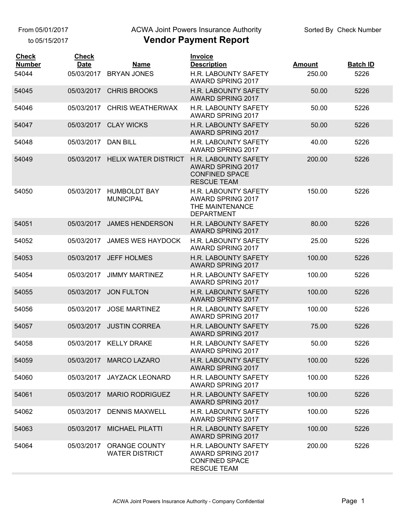From 05/01/2017

to 05/15/2017

#### ACWA Joint Powers Insurance Authority

| <b>Check</b><br><b>Number</b><br>54044 | <b>Check</b><br><b>Date</b><br>05/03/2017 | Name<br><b>BRYAN JONES</b>                    | <b>Invoice</b><br><b>Description</b><br>H.R. LABOUNTY SAFETY<br><b>AWARD SPRING 2017</b>        | <b>Amount</b><br>250.00 | <b>Batch ID</b><br>5226 |
|----------------------------------------|-------------------------------------------|-----------------------------------------------|-------------------------------------------------------------------------------------------------|-------------------------|-------------------------|
| 54045                                  | 05/03/2017                                | <b>CHRIS BROOKS</b>                           | H.R. LABOUNTY SAFETY<br><b>AWARD SPRING 2017</b>                                                | 50.00                   | 5226                    |
| 54046                                  | 05/03/2017                                | <b>CHRIS WEATHERWAX</b>                       | H.R. LABOUNTY SAFETY<br>AWARD SPRING 2017                                                       | 50.00                   | 5226                    |
| 54047                                  | 05/03/2017                                | <b>CLAY WICKS</b>                             | <b>H.R. LABOUNTY SAFETY</b><br><b>AWARD SPRING 2017</b>                                         | 50.00                   | 5226                    |
| 54048                                  | 05/03/2017                                | <b>DAN BILL</b>                               | H.R. LABOUNTY SAFETY<br><b>AWARD SPRING 2017</b>                                                | 40.00                   | 5226                    |
| 54049                                  | 05/03/2017                                | <b>HELIX WATER DISTRICT</b>                   | H.R. LABOUNTY SAFETY<br><b>AWARD SPRING 2017</b><br><b>CONFINED SPACE</b><br><b>RESCUE TEAM</b> | 200.00                  | 5226                    |
| 54050                                  | 05/03/2017                                | <b>HUMBOLDT BAY</b><br><b>MUNICIPAL</b>       | H.R. LABOUNTY SAFETY<br>AWARD SPRING 2017<br>THE MAINTENANCE<br><b>DEPARTMENT</b>               | 150.00                  | 5226                    |
| 54051                                  | 05/03/2017                                | <b>JAMES HENDERSON</b>                        | H.R. LABOUNTY SAFETY<br><b>AWARD SPRING 2017</b>                                                | 80.00                   | 5226                    |
| 54052                                  | 05/03/2017                                | <b>JAMES WES HAYDOCK</b>                      | H.R. LABOUNTY SAFETY<br>AWARD SPRING 2017                                                       | 25.00                   | 5226                    |
| 54053                                  | 05/03/2017                                | <b>JEFF HOLMES</b>                            | <b>H.R. LABOUNTY SAFETY</b><br>AWARD SPRING 2017                                                | 100.00                  | 5226                    |
| 54054                                  | 05/03/2017                                | <b>JIMMY MARTINEZ</b>                         | H.R. LABOUNTY SAFETY<br>AWARD SPRING 2017                                                       | 100.00                  | 5226                    |
| 54055                                  | 05/03/2017                                | <b>JON FULTON</b>                             | H.R. LABOUNTY SAFETY<br>AWARD SPRING 2017                                                       | 100.00                  | 5226                    |
| 54056                                  | 05/03/2017                                | <b>JOSE MARTINEZ</b>                          | H.R. LABOUNTY SAFETY<br>AWARD SPRING 2017                                                       | 100.00                  | 5226                    |
| 54057                                  | 05/03/2017                                | <b>JUSTIN CORREA</b>                          | H.R. LABOUNTY SAFETY<br>AWARD SPRING 2017                                                       | 75.00                   | 5226                    |
| 54058                                  |                                           | 05/03/2017 KELLY DRAKE                        | H.R. LABOUNTY SAFETY<br>AWARD SPRING 2017                                                       | 50.00                   | 5226                    |
| 54059                                  | 05/03/2017                                | <b>MARCO LAZARO</b>                           | <b>H.R. LABOUNTY SAFETY</b><br><b>AWARD SPRING 2017</b>                                         | 100.00                  | 5226                    |
| 54060                                  | 05/03/2017                                | <b>JAYZACK LEONARD</b>                        | H.R. LABOUNTY SAFETY<br>AWARD SPRING 2017                                                       | 100.00                  | 5226                    |
| 54061                                  | 05/03/2017                                | <b>MARIO RODRIGUEZ</b>                        | H.R. LABOUNTY SAFETY<br><b>AWARD SPRING 2017</b>                                                | 100.00                  | 5226                    |
| 54062                                  | 05/03/2017                                | <b>DENNIS MAXWELL</b>                         | H.R. LABOUNTY SAFETY<br>AWARD SPRING 2017                                                       | 100.00                  | 5226                    |
| 54063                                  | 05/03/2017                                | <b>MICHAEL PILATTI</b>                        | <b>H.R. LABOUNTY SAFETY</b><br>AWARD SPRING 2017                                                | 100.00                  | 5226                    |
| 54064                                  | 05/03/2017                                | <b>ORANGE COUNTY</b><br><b>WATER DISTRICT</b> | H.R. LABOUNTY SAFETY<br>AWARD SPRING 2017<br><b>CONFINED SPACE</b><br><b>RESCUE TEAM</b>        | 200.00                  | 5226                    |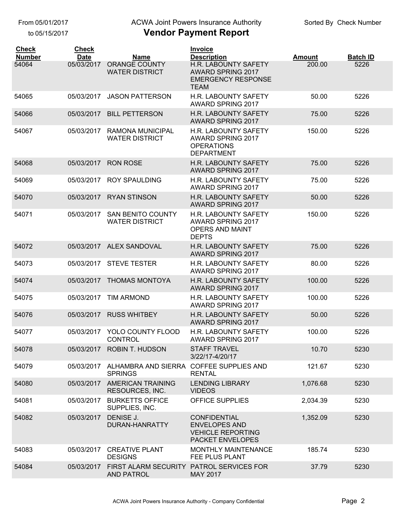to 05/15/2017

# ACWA Joint Powers Insurance Authority

| <b>Check</b><br><b>Number</b> | <b>Check</b><br><b>Date</b> | <b>Name</b>                                                          | <b>Invoice</b><br><b>Description</b>                                                              | <b>Amount</b> | <b>Batch ID</b> |
|-------------------------------|-----------------------------|----------------------------------------------------------------------|---------------------------------------------------------------------------------------------------|---------------|-----------------|
| 54064                         | 05/03/2017                  | ORANGE COUNTY<br><b>WATER DISTRICT</b>                               | H.R. LABOUNTY SAFETY<br><b>AWARD SPRING 2017</b><br><b>EMERGENCY RESPONSE</b><br><b>TEAM</b>      | 200.00        | 5226            |
| 54065                         | 05/03/2017                  | <b>JASON PATTERSON</b>                                               | H.R. LABOUNTY SAFETY<br><b>AWARD SPRING 2017</b>                                                  | 50.00         | 5226            |
| 54066                         | 05/03/2017                  | <b>BILL PETTERSON</b>                                                | <b>H.R. LABOUNTY SAFETY</b><br>AWARD SPRING 2017                                                  | 75.00         | 5226            |
| 54067                         | 05/03/2017                  | <b>RAMONA MUNICIPAL</b><br><b>WATER DISTRICT</b>                     | <b>H.R. LABOUNTY SAFETY</b><br><b>AWARD SPRING 2017</b><br><b>OPERATIONS</b><br><b>DEPARTMENT</b> | 150.00        | 5226            |
| 54068                         | 05/03/2017                  | <b>RON ROSE</b>                                                      | <b>H.R. LABOUNTY SAFETY</b><br><b>AWARD SPRING 2017</b>                                           | 75.00         | 5226            |
| 54069                         | 05/03/2017                  | <b>ROY SPAULDING</b>                                                 | <b>H.R. LABOUNTY SAFETY</b><br>AWARD SPRING 2017                                                  | 75.00         | 5226            |
| 54070                         | 05/03/2017                  | <b>RYAN STINSON</b>                                                  | H.R. LABOUNTY SAFETY<br><b>AWARD SPRING 2017</b>                                                  | 50.00         | 5226            |
| 54071                         | 05/03/2017                  | <b>SAN BENITO COUNTY</b><br><b>WATER DISTRICT</b>                    | H.R. LABOUNTY SAFETY<br>AWARD SPRING 2017<br><b>OPERS AND MAINT</b><br><b>DEPTS</b>               | 150.00        | 5226            |
| 54072                         |                             | 05/03/2017 ALEX SANDOVAL                                             | H.R. LABOUNTY SAFETY<br><b>AWARD SPRING 2017</b>                                                  | 75.00         | 5226            |
| 54073                         | 05/03/2017                  | <b>STEVE TESTER</b>                                                  | <b>H.R. LABOUNTY SAFETY</b><br>AWARD SPRING 2017                                                  | 80.00         | 5226            |
| 54074                         | 05/03/2017                  | <b>THOMAS MONTOYA</b>                                                | <b>H.R. LABOUNTY SAFETY</b><br>AWARD SPRING 2017                                                  | 100.00        | 5226            |
| 54075                         | 05/03/2017                  | <b>TIM ARMOND</b>                                                    | H.R. LABOUNTY SAFETY<br>AWARD SPRING 2017                                                         | 100.00        | 5226            |
| 54076                         | 05/03/2017                  | <b>RUSS WHITBEY</b>                                                  | <b>H.R. LABOUNTY SAFETY</b><br>AWARD SPRING 2017                                                  | 50.00         | 5226            |
| 54077                         | 05/03/2017                  | YOLO COUNTY FLOOD<br>CONTROL                                         | H.R. LABOUNTY SAFETY<br>AWARD SPRING 2017                                                         | 100.00        | 5226            |
| 54078                         |                             | 05/03/2017 ROBIN T. HUDSON                                           | <b>STAFF TRAVEL</b><br>3/22/17-4/20/17                                                            | 10.70         | 5230            |
| 54079                         |                             | 05/03/2017 ALHAMBRA AND SIERRA COFFEE SUPPLIES AND<br><b>SPRINGS</b> | <b>RENTAL</b>                                                                                     | 121.67        | 5230            |
| 54080                         | 05/03/2017                  | <b>AMERICAN TRAINING</b><br>RESOURCES, INC.                          | <b>LENDING LIBRARY</b><br><b>VIDEOS</b>                                                           | 1,076.68      | 5230            |
| 54081                         | 05/03/2017                  | <b>BURKETTS OFFICE</b><br>SUPPLIES, INC.                             | <b>OFFICE SUPPLIES</b>                                                                            | 2,034.39      | 5230            |
| 54082                         | 05/03/2017                  | DENISE J.<br>DURAN-HANRATTY                                          | <b>CONFIDENTIAL</b><br><b>ENVELOPES AND</b><br><b>VEHICLE REPORTING</b><br>PACKET ENVELOPES       | 1,352.09      | 5230            |
| 54083                         | 05/03/2017                  | <b>CREATIVE PLANT</b><br><b>DESIGNS</b>                              | MONTHLY MAINTENANCE<br>FEE PLUS PLANT                                                             | 185.74        | 5230            |
| 54084                         | 05/03/2017                  | FIRST ALARM SECURITY PATROL SERVICES FOR<br>AND PATROL               | <b>MAY 2017</b>                                                                                   | 37.79         | 5230            |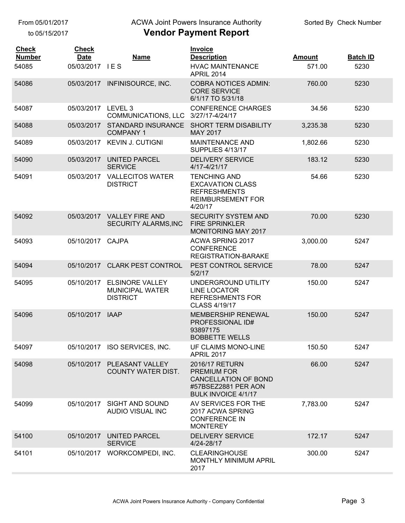to 05/15/2017

# ACWA Joint Powers Insurance Authority

| <b>Check</b><br><b>Number</b> | <b>Check</b><br><b>Date</b> | <b>Name</b>                                                         | <b>Invoice</b><br><b>Description</b>                                                                                     | <b>Amount</b> | <b>Batch ID</b> |
|-------------------------------|-----------------------------|---------------------------------------------------------------------|--------------------------------------------------------------------------------------------------------------------------|---------------|-----------------|
| 54085                         | 05/03/2017 IES              |                                                                     | <b>HVAC MAINTENANCE</b><br><b>APRIL 2014</b>                                                                             | 571.00        | 5230            |
| 54086                         | 05/03/2017                  | INFINISOURCE, INC.                                                  | <b>COBRA NOTICES ADMIN:</b><br><b>CORE SERVICE</b><br>6/1/17 TO 5/31/18                                                  | 760.00        | 5230            |
| 54087                         | 05/03/2017 LEVEL 3          | <b>COMMUNICATIONS, LLC</b>                                          | <b>CONFERENCE CHARGES</b><br>3/27/17-4/24/17                                                                             | 34.56         | 5230            |
| 54088                         | 05/03/2017                  | <b>STANDARD INSURANCE</b><br><b>COMPANY 1</b>                       | <b>SHORT TERM DISABILITY</b><br><b>MAY 2017</b>                                                                          | 3,235.38      | 5230            |
| 54089                         | 05/03/2017                  | <b>KEVIN J. CUTIGNI</b>                                             | <b>MAINTENANCE AND</b><br>SUPPLIES 4/13/17                                                                               | 1,802.66      | 5230            |
| 54090                         | 05/03/2017                  | <b>UNITED PARCEL</b><br><b>SERVICE</b>                              | <b>DELIVERY SERVICE</b><br>4/17-4/21/17                                                                                  | 183.12        | 5230            |
| 54091                         | 05/03/2017                  | <b>VALLECITOS WATER</b><br><b>DISTRICT</b>                          | <b>TENCHING AND</b><br><b>EXCAVATION CLASS</b><br><b>REFRESHMENTS</b><br><b>REIMBURSEMENT FOR</b><br>4/20/17             | 54.66         | 5230            |
| 54092                         |                             | 05/03/2017 VALLEY FIRE AND<br>SECURITY ALARMS, INC                  | <b>SECURITY SYSTEM AND</b><br><b>FIRE SPRINKLER</b><br><b>MONITORING MAY 2017</b>                                        | 70.00         | 5230            |
| 54093                         | 05/10/2017 CAJPA            |                                                                     | ACWA SPRING 2017<br><b>CONFERENCE</b><br>REGISTRATION-BARAKE                                                             | 3,000.00      | 5247            |
| 54094                         | 05/10/2017                  | <b>CLARK PEST CONTROL</b>                                           | PEST CONTROL SERVICE<br>5/2/17                                                                                           | 78.00         | 5247            |
| 54095                         | 05/10/2017                  | <b>ELSINORE VALLEY</b><br><b>MUNICIPAL WATER</b><br><b>DISTRICT</b> | UNDERGROUND UTILITY<br><b>LINE LOCATOR</b><br><b>REFRESHMENTS FOR</b><br>CLASS 4/19/17                                   | 150.00        | 5247            |
| 54096                         | 05/10/2017                  | <b>IAAP</b>                                                         | <b>MEMBERSHIP RENEWAL</b><br>PROFESSIONAL ID#<br>93897175<br><b>BOBBETTE WELLS</b>                                       | 150.00        | 5247            |
| 54097                         |                             | 05/10/2017 ISO SERVICES, INC.                                       | UF CLAIMS MONO-LINE<br><b>APRIL 2017</b>                                                                                 | 150.50        | 5247            |
| 54098                         |                             | 05/10/2017 PLEASANT VALLEY<br><b>COUNTY WATER DIST.</b>             | 2016/17 RETURN<br><b>PREMIUM FOR</b><br><b>CANCELLATION OF BOND</b><br>#57BSEZ2881 PER AON<br><b>BULK INVOICE 4/1/17</b> | 66.00         | 5247            |
| 54099                         |                             | 05/10/2017 SIGHT AND SOUND<br>AUDIO VISUAL INC                      | AV SERVICES FOR THE<br>2017 ACWA SPRING<br><b>CONFERENCE IN</b><br><b>MONTEREY</b>                                       | 7,783.00      | 5247            |
| 54100                         | 05/10/2017                  | <b>UNITED PARCEL</b><br><b>SERVICE</b>                              | <b>DELIVERY SERVICE</b><br>4/24-28/17                                                                                    | 172.17        | 5247            |
| 54101                         | 05/10/2017                  | WORKCOMPEDI, INC.                                                   | <b>CLEARINGHOUSE</b><br>MONTHLY MINIMUM APRIL<br>2017                                                                    | 300.00        | 5247            |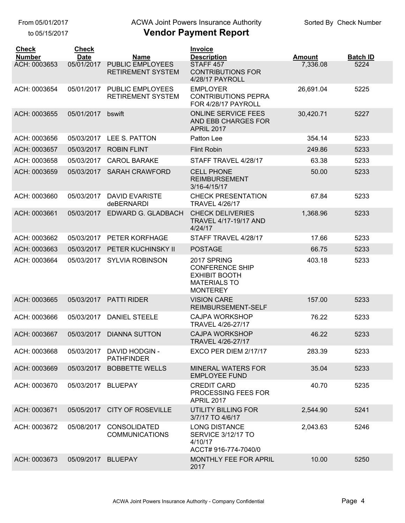From 05/01/2017

to 05/15/2017

### **Vendor Payment Report** ACWA Joint Powers Insurance Authority

| <b>Check</b><br><b>Number</b> | <b>Check</b><br><b>Date</b> |                                                     | Invoice                                                                                                 | <b>Amount</b> |                         |
|-------------------------------|-----------------------------|-----------------------------------------------------|---------------------------------------------------------------------------------------------------------|---------------|-------------------------|
| ACH: 0003653                  | 05/01/2017                  | Name<br><b>PUBLIC EMPLOYEES</b>                     | <b>Description</b><br>STAFF <sub>457</sub>                                                              | 7,336.08      | <b>Batch ID</b><br>5224 |
|                               |                             | <b>RETIREMENT SYSTEM</b>                            | <b>CONTRIBUTIONS FOR</b><br>4/28/17 PAYROLL                                                             |               |                         |
| ACH: 0003654                  | 05/01/2017                  | <b>PUBLIC EMPLOYEES</b><br><b>RETIREMENT SYSTEM</b> | <b>EMPLOYER</b><br><b>CONTRIBUTIONS PEPRA</b><br>FOR 4/28/17 PAYROLL                                    | 26,691.04     | 5225                    |
| ACH: 0003655                  | 05/01/2017                  | bswift                                              | <b>ONLINE SERVICE FEES</b><br>AND EBB CHARGES FOR<br><b>APRIL 2017</b>                                  | 30,420.71     | 5227                    |
| ACH: 0003656                  | 05/03/2017                  | LEE S. PATTON                                       | Patton Lee                                                                                              | 354.14        | 5233                    |
| ACH: 0003657                  | 05/03/2017                  | <b>ROBIN FLINT</b>                                  | <b>Flint Robin</b>                                                                                      | 249.86        | 5233                    |
| ACH: 0003658                  | 05/03/2017                  | <b>CAROL BARAKE</b>                                 | STAFF TRAVEL 4/28/17                                                                                    | 63.38         | 5233                    |
| ACH: 0003659                  | 05/03/2017                  | <b>SARAH CRAWFORD</b>                               | <b>CELL PHONE</b><br><b>REIMBURSEMENT</b><br>3/16-4/15/17                                               | 50.00         | 5233                    |
| ACH: 0003660                  | 05/03/2017                  | <b>DAVID EVARISTE</b><br>deBERNARDI                 | <b>CHECK PRESENTATION</b><br><b>TRAVEL 4/26/17</b>                                                      | 67.84         | 5233                    |
| ACH: 0003661                  | 05/03/2017                  | EDWARD G. GLADBACH                                  | <b>CHECK DELIVERIES</b><br><b>TRAVEL 4/17-19/17 AND</b><br>4/24/17                                      | 1,368.96      | 5233                    |
| ACH: 0003662                  | 05/03/2017                  | PETER KORFHAGE                                      | STAFF TRAVEL 4/28/17                                                                                    | 17.66         | 5233                    |
| ACH: 0003663                  | 05/03/2017                  | PETER KUCHINSKY II                                  | <b>POSTAGE</b>                                                                                          | 66.75         | 5233                    |
| ACH: 0003664                  | 05/03/2017                  | <b>SYLVIA ROBINSON</b>                              | 2017 SPRING<br><b>CONFERENCE SHIP</b><br><b>EXHIBIT BOOTH</b><br><b>MATERIALS TO</b><br><b>MONTEREY</b> | 403.18        | 5233                    |
| ACH: 0003665                  | 05/03/2017                  | <b>PATTI RIDER</b>                                  | <b>VISION CARE</b><br>REIMBURSEMENT-SELF                                                                | 157.00        | 5233                    |
| ACH: 0003666                  | 05/03/2017                  | <b>DANIEL STEELE</b>                                | <b>CAJPA WORKSHOP</b><br>TRAVEL 4/26-27/17                                                              | 76.22         | 5233                    |
| ACH: 0003667                  | 05/03/2017                  | <b>DIANNA SUTTON</b>                                | <b>CAJPA WORKSHOP</b><br>TRAVEL 4/26-27/17                                                              | 46.22         | 5233                    |
| ACH: 0003668                  | 05/03/2017                  | <b>DAVID HODGIN -</b><br><b>PATHFINDER</b>          | EXCO PER DIEM 2/17/17                                                                                   | 283.39        | 5233                    |
| ACH: 0003669                  | 05/03/2017                  | <b>BOBBETTE WELLS</b>                               | <b>MINERAL WATERS FOR</b><br><b>EMPLOYEE FUND</b>                                                       | 35.04         | 5233                    |
| ACH: 0003670                  | 05/03/2017                  | <b>BLUEPAY</b>                                      | <b>CREDIT CARD</b><br>PROCESSING FEES FOR<br><b>APRIL 2017</b>                                          | 40.70         | 5235                    |
| ACH: 0003671                  | 05/05/2017                  | <b>CITY OF ROSEVILLE</b>                            | <b>UTILITY BILLING FOR</b><br>3/7/17 TO 4/6/17                                                          | 2,544.90      | 5241                    |
| ACH: 0003672                  | 05/08/2017                  | <b>CONSOLIDATED</b><br><b>COMMUNICATIONS</b>        | <b>LONG DISTANCE</b><br>SERVICE 3/12/17 TO<br>4/10/17<br>ACCT# 916-774-7040/0                           | 2,043.63      | 5246                    |
| ACH: 0003673                  | 05/09/2017                  | <b>BLUEPAY</b>                                      | <b>MONTHLY FEE FOR APRIL</b><br>2017                                                                    | 10.00         | 5250                    |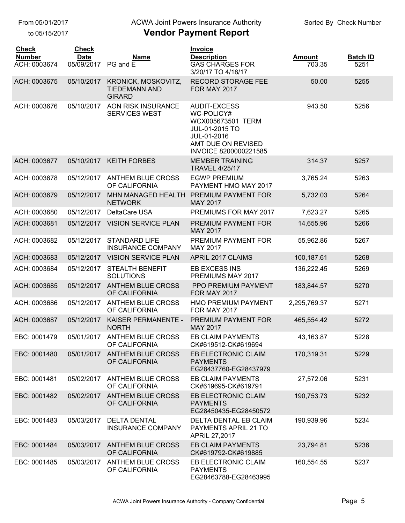to 05/15/2017

#### **Vendor Payment Report** ACWA Joint Powers Insurance Authority

| <b>Check</b><br><b>Number</b><br>ACH: 0003674 | <b>Check</b><br><b>Date</b><br>05/09/2017 | <b>Name</b><br>PG and E                                      | <b>Invoice</b><br><b>Description</b><br><b>GAS CHARGES FOR</b><br>3/20/17 TO 4/18/17                                                   | <b>Amount</b><br>703.35 | <b>Batch ID</b><br>5251 |
|-----------------------------------------------|-------------------------------------------|--------------------------------------------------------------|----------------------------------------------------------------------------------------------------------------------------------------|-------------------------|-------------------------|
| ACH: 0003675                                  | 05/10/2017                                | KRONICK, MOSKOVITZ,<br><b>TIEDEMANN AND</b><br><b>GIRARD</b> | <b>RECORD STORAGE FEE</b><br><b>FOR MAY 2017</b>                                                                                       | 50.00                   | 5255                    |
| ACH: 0003676                                  | 05/10/2017                                | <b>AON RISK INSURANCE</b><br><b>SERVICES WEST</b>            | <b>AUDIT-EXCESS</b><br>WC-POLICY#<br>WCX005673501 TERM<br>JUL-01-2015 TO<br>JUL-01-2016<br>AMT DUE ON REVISED<br>INVOICE 8200000221585 | 943.50                  | 5256                    |
| ACH: 0003677                                  | 05/10/2017                                | <b>KEITH FORBES</b>                                          | <b>MEMBER TRAINING</b><br><b>TRAVEL 4/25/17</b>                                                                                        | 314.37                  | 5257                    |
| ACH: 0003678                                  | 05/12/2017                                | <b>ANTHEM BLUE CROSS</b><br>OF CALIFORNIA                    | <b>EGWP PREMIUM</b><br>PAYMENT HMO MAY 2017                                                                                            | 3,765.24                | 5263                    |
| ACH: 0003679                                  | 05/12/2017                                | MHN MANAGED HEALTH<br><b>NETWORK</b>                         | PREMIUM PAYMENT FOR<br><b>MAY 2017</b>                                                                                                 | 5,732.03                | 5264                    |
| ACH: 0003680                                  | 05/12/2017                                | DeltaCare USA                                                | PREMIUMS FOR MAY 2017                                                                                                                  | 7,623.27                | 5265                    |
| ACH: 0003681                                  | 05/12/2017                                | <b>VISION SERVICE PLAN</b>                                   | PREMIUM PAYMENT FOR<br><b>MAY 2017</b>                                                                                                 | 14,655.96               | 5266                    |
| ACH: 0003682                                  | 05/12/2017                                | <b>STANDARD LIFE</b><br><b>INSURANCE COMPANY</b>             | PREMIUM PAYMENT FOR<br>MAY 2017                                                                                                        | 55,962.86               | 5267                    |
| ACH: 0003683                                  | 05/12/2017                                | <b>VISION SERVICE PLAN</b>                                   | APRIL 2017 CLAIMS                                                                                                                      | 100,187.61              | 5268                    |
| ACH: 0003684                                  | 05/12/2017                                | <b>STEALTH BENEFIT</b><br><b>SOLUTIONS</b>                   | EB EXCESS INS<br>PREMIUMS MAY 2017                                                                                                     | 136,222.45              | 5269                    |
| ACH: 0003685                                  | 05/12/2017                                | <b>ANTHEM BLUE CROSS</b><br>OF CALIFORNIA                    | PPO PREMIUM PAYMENT<br><b>FOR MAY 2017</b>                                                                                             | 183,844.57              | 5270                    |
| ACH: 0003686                                  | 05/12/2017                                | <b>ANTHEM BLUE CROSS</b><br>OF CALIFORNIA                    | <b>HMO PREMIUM PAYMENT</b><br><b>FOR MAY 2017</b>                                                                                      | 2,295,769.37            | 5271                    |
| ACH: 0003687                                  | 05/12/2017                                | KAISER PERMANENTE -<br><b>NORTH</b>                          | PREMIUM PAYMENT FOR<br><b>MAY 2017</b>                                                                                                 | 465,554.42              | 5272                    |
| EBC: 0001479                                  |                                           | 05/01/2017 ANTHEM BLUE CROSS<br>OF CALIFORNIA                | EB CLAIM PAYMENTS<br>CK#619512-CK#619694                                                                                               | 43,163.87               | 5228                    |
| EBC: 0001480                                  | 05/01/2017                                | <b>ANTHEM BLUE CROSS</b><br>OF CALIFORNIA                    | EB ELECTRONIC CLAIM<br><b>PAYMENTS</b><br>EG28437760-EG28437979                                                                        | 170,319.31              | 5229                    |
| EBC: 0001481                                  | 05/02/2017                                | ANTHEM BLUE CROSS<br>OF CALIFORNIA                           | EB CLAIM PAYMENTS<br>CK#619695-CK#619791                                                                                               | 27,572.06               | 5231                    |
| EBC: 0001482                                  | 05/02/2017                                | <b>ANTHEM BLUE CROSS</b><br>OF CALIFORNIA                    | EB ELECTRONIC CLAIM<br><b>PAYMENTS</b>                                                                                                 | 190,753.73              | 5232                    |

EG28463788-EG28463995

EG28450435-EG28450572

PAYMENTS APRIL 21 TO

CK#619792-CK#619885

APRIL 27,2017

PAYMENTS

EBC: 0001483 DELTA DENTAL EB CLAIM 05/03/2017 DELTA DENTAL

INSURANCE COMPANY

EBC: 0001484 EB CLAIM PAYMENTS 05/03/2017 ANTHEM BLUE CROSS

EBC: 0001485 05/03/2017 ANTHEM BLUE CROSS EB ELECTRONIC CLAIM

05/03/2017 ANTHEM BLUE CROSS OF CALIFORNIA

OF CALIFORNIA

190,939.96 5234

23,794.81 5236

160,554.55 5237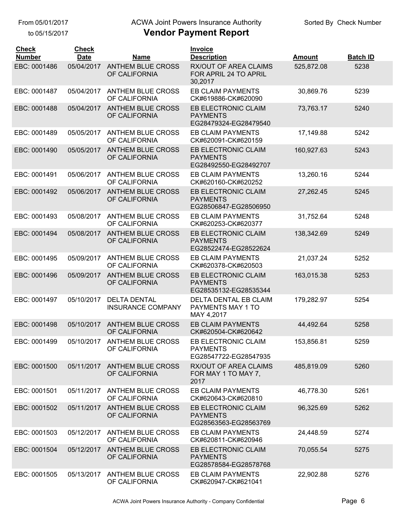to 05/15/2017

# ACWA Joint Powers Insurance Authority

| <b>Check</b><br><b>Number</b> | <b>Check</b><br><b>Date</b> | <b>Name</b>                                     | Invoice<br><b>Description</b>                                    | <b>Amount</b> | <b>Batch ID</b> |
|-------------------------------|-----------------------------|-------------------------------------------------|------------------------------------------------------------------|---------------|-----------------|
| EBC: 0001486                  | 05/04/2017                  | <b>ANTHEM BLUE CROSS</b><br>OF CALIFORNIA       | <b>RX/OUT OF AREA CLAIMS</b><br>FOR APRIL 24 TO APRIL<br>30,2017 | 525,872.08    | 5238            |
| EBC: 0001487                  | 05/04/2017                  | <b>ANTHEM BLUE CROSS</b><br>OF CALIFORNIA       | <b>EB CLAIM PAYMENTS</b><br>CK#619886-CK#620090                  | 30,869.76     | 5239            |
| EBC: 0001488                  | 05/04/2017                  | <b>ANTHEM BLUE CROSS</b><br>OF CALIFORNIA       | EB ELECTRONIC CLAIM<br><b>PAYMENTS</b><br>EG28479324-EG28479540  | 73,763.17     | 5240            |
| EBC: 0001489                  | 05/05/2017                  | <b>ANTHEM BLUE CROSS</b><br>OF CALIFORNIA       | <b>EB CLAIM PAYMENTS</b><br>CK#620091-CK#620159                  | 17,149.88     | 5242            |
| EBC: 0001490                  | 05/05/2017                  | <b>ANTHEM BLUE CROSS</b><br>OF CALIFORNIA       | EB ELECTRONIC CLAIM<br><b>PAYMENTS</b><br>EG28492550-EG28492707  | 160,927.63    | 5243            |
| EBC: 0001491                  | 05/06/2017                  | <b>ANTHEM BLUE CROSS</b><br>OF CALIFORNIA       | <b>EB CLAIM PAYMENTS</b><br>CK#620160-CK#620252                  | 13,260.16     | 5244            |
| EBC: 0001492                  | 05/06/2017                  | <b>ANTHEM BLUE CROSS</b><br>OF CALIFORNIA       | EB ELECTRONIC CLAIM<br><b>PAYMENTS</b><br>EG28506847-EG28506950  | 27,262.45     | 5245            |
| EBC: 0001493                  | 05/08/2017                  | <b>ANTHEM BLUE CROSS</b><br>OF CALIFORNIA       | <b>EB CLAIM PAYMENTS</b><br>CK#620253-CK#620377                  | 31,752.64     | 5248            |
| EBC: 0001494                  | 05/08/2017                  | <b>ANTHEM BLUE CROSS</b><br>OF CALIFORNIA       | EB ELECTRONIC CLAIM<br><b>PAYMENTS</b><br>EG28522474-EG28522624  | 138,342.69    | 5249            |
| EBC: 0001495                  | 05/09/2017                  | <b>ANTHEM BLUE CROSS</b><br>OF CALIFORNIA       | EB CLAIM PAYMENTS<br>CK#620378-CK#620503                         | 21,037.24     | 5252            |
| EBC: 0001496                  | 05/09/2017                  | <b>ANTHEM BLUE CROSS</b><br>OF CALIFORNIA       | EB ELECTRONIC CLAIM<br><b>PAYMENTS</b><br>EG28535132-EG28535344  | 163,015.38    | 5253            |
| EBC: 0001497                  | 05/10/2017                  | <b>DELTA DENTAL</b><br><b>INSURANCE COMPANY</b> | DELTA DENTAL EB CLAIM<br>PAYMENTS MAY 1 TO<br>MAY 4,2017         | 179,282.97    | 5254            |
| EBC: 0001498                  | 05/10/2017                  | <b>ANTHEM BLUE CROSS</b><br>OF CALIFORNIA       | <b>EB CLAIM PAYMENTS</b><br>CK#620504-CK#620642                  | 44,492.64     | 5258            |
| EBC: 0001499                  | 05/10/2017                  | ANTHEM BLUE CROSS<br>OF CALIFORNIA              | EB ELECTRONIC CLAIM<br><b>PAYMENTS</b><br>EG28547722-EG28547935  | 153,856.81    | 5259            |
| EBC: 0001500                  | 05/11/2017                  | <b>ANTHEM BLUE CROSS</b><br>OF CALIFORNIA       | <b>RX/OUT OF AREA CLAIMS</b><br>FOR MAY 1 TO MAY 7,<br>2017      | 485,819.09    | 5260            |
| EBC: 0001501                  | 05/11/2017                  | ANTHEM BLUE CROSS<br>OF CALIFORNIA              | EB CLAIM PAYMENTS<br>CK#620643-CK#620810                         | 46,778.30     | 5261            |
| EBC: 0001502                  | 05/11/2017                  | <b>ANTHEM BLUE CROSS</b><br>OF CALIFORNIA       | EB ELECTRONIC CLAIM<br><b>PAYMENTS</b><br>EG28563563-EG28563769  | 96,325.69     | 5262            |
| EBC: 0001503                  | 05/12/2017                  | <b>ANTHEM BLUE CROSS</b><br>OF CALIFORNIA       | EB CLAIM PAYMENTS<br>CK#620811-CK#620946                         | 24,448.59     | 5274            |
| EBC: 0001504                  | 05/12/2017                  | <b>ANTHEM BLUE CROSS</b><br>OF CALIFORNIA       | EB ELECTRONIC CLAIM<br><b>PAYMENTS</b><br>EG28578584-EG28578768  | 70,055.54     | 5275            |
| EBC: 0001505                  | 05/13/2017                  | <b>ANTHEM BLUE CROSS</b><br>OF CALIFORNIA       | EB CLAIM PAYMENTS<br>CK#620947-CK#621041                         | 22,902.88     | 5276            |